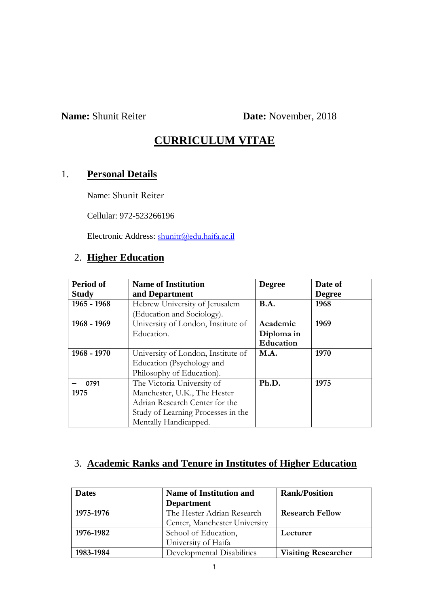**Name:** Shunit Reiter **Date:** November, 2018

# **CURRICULUM VITAE**

# 1. **Personal Details**

Name: Shunit Reiter

Cellular: 972-523266196

Electronic Address: [shunitr@edu.haifa.ac.il](mailto:shunitr@edu.haifa.ac.il)

# 2. **Higher Education**

| Period of<br><b>Study</b>            | <b>Name of Institution</b><br>and Department | <b>Degree</b> | Date of<br><b>Degree</b> |
|--------------------------------------|----------------------------------------------|---------------|--------------------------|
| 1965 - 1968                          | Hebrew University of Jerusalem               | <b>B.A.</b>   | 1968                     |
|                                      | (Education and Sociology).                   |               |                          |
| 1968 - 1969                          | University of London, Institute of           | Academic      | 1969                     |
|                                      | Education.                                   | Diploma in    |                          |
|                                      |                                              | Education     |                          |
| $1968 - 1970$                        | University of London, Institute of           | M.A.          | 1970                     |
| Education (Psychology and            |                                              |               |                          |
|                                      | Philosophy of Education).                    |               |                          |
| 0791                                 | The Victoria University of                   | Ph.D.         | 1975                     |
| Manchester, U.K., The Hester<br>1975 |                                              |               |                          |
| Adrian Research Center for the       |                                              |               |                          |
|                                      | Study of Learning Processes in the           |               |                          |
|                                      | Mentally Handicapped.                        |               |                          |

# 3. **Academic Ranks and Tenure in Institutes of Higher Education**

| <b>Dates</b> | <b>Name of Institution and</b> | <b>Rank/Position</b>       |
|--------------|--------------------------------|----------------------------|
|              | <b>Department</b>              |                            |
| 1975-1976    | The Hester Adrian Research     | <b>Research Fellow</b>     |
|              | Center, Manchester University  |                            |
| 1976-1982    | School of Education,           | Lecturer                   |
|              | University of Haifa            |                            |
| 1983-1984    | Developmental Disabilities     | <b>Visiting Researcher</b> |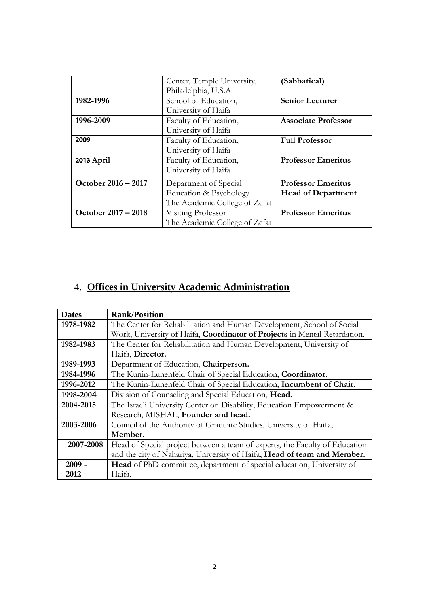|                     | Center, Temple University,    | (Sabbatical)               |
|---------------------|-------------------------------|----------------------------|
|                     | Philadelphia, U.S.A           |                            |
| 1982-1996           | School of Education,          | <b>Senior Lecturer</b>     |
|                     | University of Haifa           |                            |
| 1996-2009           | Faculty of Education,         | <b>Associate Professor</b> |
|                     | University of Haifa           |                            |
| 2009                | Faculty of Education,         | <b>Full Professor</b>      |
|                     | University of Haifa           |                            |
| 2013 April          | Faculty of Education,         | <b>Professor Emeritus</b>  |
|                     | University of Haifa           |                            |
| October 2016 - 2017 | Department of Special         | <b>Professor Emeritus</b>  |
|                     | Education & Psychology        | <b>Head of Department</b>  |
|                     | The Academic College of Zefat |                            |
| October 2017 - 2018 | Visiting Professor            | <b>Professor Emeritus</b>  |
|                     | The Academic College of Zefat |                            |

# 4. **Offices in University Academic Administration**

| <b>Dates</b> | <b>Rank/Position</b>                                                         |
|--------------|------------------------------------------------------------------------------|
| 1978-1982    | The Center for Rehabilitation and Human Development, School of Social        |
|              | Work, University of Haifa, Coordinator of Projects in Mental Retardation.    |
| 1982-1983    | The Center for Rehabilitation and Human Development, University of           |
|              | Haifa, Director.                                                             |
| 1989-1993    | Department of Education, Chairperson.                                        |
| 1984-1996    | The Kunin-Lunenfeld Chair of Special Education, Coordinator.                 |
| 1996-2012    | The Kunin-Lunenfeld Chair of Special Education, Incumbent of Chair.          |
| 1998-2004    | Division of Counseling and Special Education, Head.                          |
| 2004-2015    | The Israeli University Center on Disability, Education Empowerment &         |
|              | Research, MISHAL, Founder and head.                                          |
| 2003-2006    | Council of the Authority of Graduate Studies, University of Haifa,           |
|              | Member.                                                                      |
| 2007-2008    | Head of Special project between a team of experts, the Faculty of Education  |
|              | and the city of Nahariya, University of Haifa, Head of team and Member.      |
| $2009 -$     | <b>Head</b> of PhD committee, department of special education, University of |
| 2012         | Haifa.                                                                       |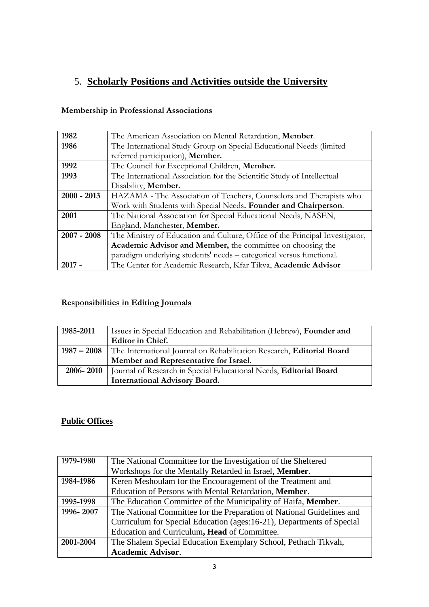# 5. **Scholarly Positions and Activities outside the University**

### **Membership in Professional Associations**

| 1982          | The American Association on Mental Retardation, Member.                      |  |  |
|---------------|------------------------------------------------------------------------------|--|--|
| 1986          | The International Study Group on Special Educational Needs (limited          |  |  |
|               | referred participation), Member.                                             |  |  |
| 1992          | The Council for Exceptional Children, Member.                                |  |  |
| 1993          | The International Association for the Scientific Study of Intellectual       |  |  |
|               | Disability, Member.                                                          |  |  |
| $2000 - 2013$ | HAZAMA - The Association of Teachers, Counselors and Therapists who          |  |  |
|               | Work with Students with Special Needs. Founder and Chairperson.              |  |  |
| 2001          | The National Association for Special Educational Needs, NASEN,               |  |  |
|               | England, Manchester, Member.                                                 |  |  |
| $2007 - 2008$ | The Ministry of Education and Culture, Office of the Principal Investigator, |  |  |
|               | Academic Advisor and Member, the committee on choosing the                   |  |  |
|               | paradigm underlying students' needs - categorical versus functional.         |  |  |
| $2017 -$      | The Center for Academic Research, Kfar Tikva, Academic Advisor               |  |  |

### **Responsibilities in Editing Journals**

| 1985-2011 | Issues in Special Education and Rehabilitation (Hebrew), Founder and                |  |  |
|-----------|-------------------------------------------------------------------------------------|--|--|
|           | Editor in Chief.                                                                    |  |  |
|           | 1987 – 2008   The International Journal on Rehabilitation Research, Editorial Board |  |  |
|           | Member and Representative for Israel.                                               |  |  |
| 2006-2010 | Journal of Research in Special Educational Needs, Editorial Board                   |  |  |
|           | <b>International Advisory Board.</b>                                                |  |  |

### **Public Offices**

| 1979-1980 | The National Committee for the Investigation of the Sheltered         |  |  |
|-----------|-----------------------------------------------------------------------|--|--|
|           | Workshops for the Mentally Retarded in Israel, Member.                |  |  |
| 1984-1986 | Keren Meshoulam for the Encouragement of the Treatment and            |  |  |
|           | Education of Persons with Mental Retardation, Member.                 |  |  |
| 1995-1998 | The Education Committee of the Municipality of Haifa, Member.         |  |  |
| 1996-2007 | The National Committee for the Preparation of National Guidelines and |  |  |
|           | Curriculum for Special Education (ages:16-21), Departments of Special |  |  |
|           | Education and Curriculum, Head of Committee.                          |  |  |
| 2001-2004 | The Shalem Special Education Exemplary School, Pethach Tikvah,        |  |  |
|           | <b>Academic Advisor.</b>                                              |  |  |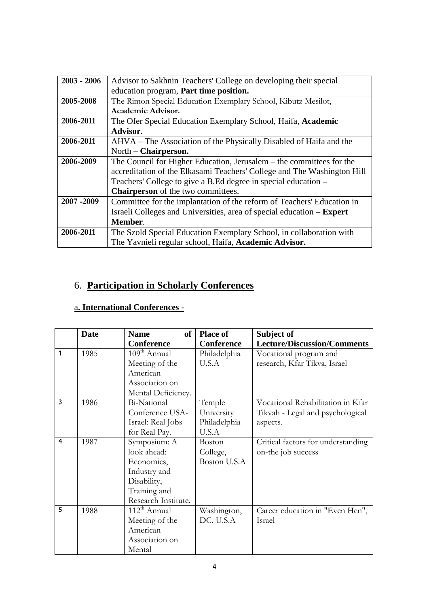| $2003 - 2006$ | Advisor to Sakhnin Teachers' College on developing their special        |  |  |  |
|---------------|-------------------------------------------------------------------------|--|--|--|
|               | education program, Part time position.                                  |  |  |  |
| 2005-2008     | The Rimon Special Education Exemplary School, Kibutz Mesilot,           |  |  |  |
|               | Academic Advisor.                                                       |  |  |  |
| 2006-2011     | The Ofer Special Education Exemplary School, Haifa, Academic            |  |  |  |
|               | Advisor.                                                                |  |  |  |
| 2006-2011     | AHVA – The Association of the Physically Disabled of Haifa and the      |  |  |  |
|               | North – Chairperson.                                                    |  |  |  |
| 2006-2009     | The Council for Higher Education, Jerusalem – the committees for the    |  |  |  |
|               | accreditation of the Elkasami Teachers' College and The Washington Hill |  |  |  |
|               | Teachers' College to give a B.Ed degree in special education –          |  |  |  |
|               | <b>Chairperson</b> of the two committees.                               |  |  |  |
| 2007-2009     | Committee for the implantation of the reform of Teachers' Education in  |  |  |  |
|               | Israeli Colleges and Universities, area of special education - Expert   |  |  |  |
|               | Member.                                                                 |  |  |  |
| 2006-2011     | The Szold Special Education Exemplary School, in collaboration with     |  |  |  |
|               | The Yavnieli regular school, Haifa, Academic Advisor.                   |  |  |  |

# 6. **Participation in Scholarly Conferences**

# a**. International Conferences -**

|                | <b>Date</b> | <b>of</b><br><b>Name</b> | <b>Place of</b>   | Subject of                         |
|----------------|-------------|--------------------------|-------------------|------------------------------------|
|                |             | <b>Conference</b>        | <b>Conference</b> | <b>Lecture/Discussion/Comments</b> |
| $\mathbf{1}$   | 1985        | $109th$ Annual           | Philadelphia      | Vocational program and             |
|                |             | Meeting of the           | U.S.A             | research, Kfar Tikva, Israel       |
|                |             | American                 |                   |                                    |
|                |             | Association on           |                   |                                    |
|                |             | Mental Deficiency.       |                   |                                    |
| 3              | 1986        | Bi-National              | Temple            | Vocational Rehabilitation in Kfar  |
|                |             | Conference USA-          | University        | Tikvah - Legal and psychological   |
|                |             | Israel: Real Jobs        | Philadelphia      | aspects.                           |
|                |             | for Real Pay.            | U.S.A             |                                    |
| $\overline{a}$ | 1987        | Symposium: A             | <b>Boston</b>     | Critical factors for understanding |
|                |             | look ahead:              | College,          | on-the job success                 |
|                |             | Economics,               | Boston U.S.A      |                                    |
|                |             | Industry and             |                   |                                    |
|                |             | Disability,              |                   |                                    |
|                |             | Training and             |                   |                                    |
|                |             | Research Institute.      |                   |                                    |
| 5              | 1988        | $112^{th}$ Annual        | Washington,       | Career education in "Even Hen",    |
|                |             | Meeting of the           | DC. U.S.A         | Israel                             |
|                |             | American                 |                   |                                    |
|                |             | Association on           |                   |                                    |
|                |             | Mental                   |                   |                                    |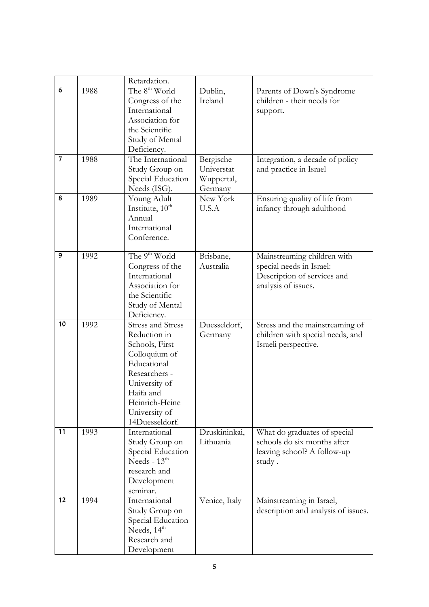|                |      | Retardation.                                                                                                                                                                                   |                                                  |                                                                                                               |
|----------------|------|------------------------------------------------------------------------------------------------------------------------------------------------------------------------------------------------|--------------------------------------------------|---------------------------------------------------------------------------------------------------------------|
| 6              | 1988 | The 8 <sup>th</sup> World<br>Congress of the<br>International<br>Association for<br>the Scientific<br>Study of Mental<br>Deficiency.                                                           | Dublin,<br>Ireland                               | Parents of Down's Syndrome<br>children - their needs for<br>support.                                          |
| $\overline{7}$ | 1988 | The International<br>Study Group on<br>Special Education<br>Needs (ISG).                                                                                                                       | Bergische<br>Universtat<br>Wuppertal,<br>Germany | Integration, a decade of policy<br>and practice in Israel                                                     |
| 8              | 1989 | Young Adult<br>Institute, $10^{th}$<br>Annual<br>International<br>Conference.                                                                                                                  | New York<br>U.S.A                                | Ensuring quality of life from<br>infancy through adulthood                                                    |
| 9              | 1992 | The 9 <sup>th</sup> World<br>Congress of the<br>International<br>Association for<br>the Scientific<br>Study of Mental<br>Deficiency.                                                           | Brisbane,<br>Australia                           | Mainstreaming children with<br>special needs in Israel:<br>Description of services and<br>analysis of issues. |
| 10             | 1992 | <b>Stress and Stress</b><br>Reduction in<br>Schools, First<br>Colloquium of<br>Educational<br>Researchers -<br>University of<br>Haifa and<br>Heinrich-Heine<br>University of<br>14Duesseldorf. | Duesseldorf,<br>Germany                          | Stress and the mainstreaming of<br>children with special needs, and<br>Israeli perspective.                   |
| 11             | 1993 | International<br>Study Group on<br>Special Education<br>Needs - $13th$<br>research and<br>Development<br>seminar.                                                                              | Druskininkai,<br>Lithuania                       | What do graduates of special<br>schools do six months after<br>leaving school? A follow-up<br>study.          |
| 12             | 1994 | International<br>Study Group on<br>Special Education<br>Needs, $14th$<br>Research and<br>Development                                                                                           | Venice, Italy                                    | Mainstreaming in Israel,<br>description and analysis of issues.                                               |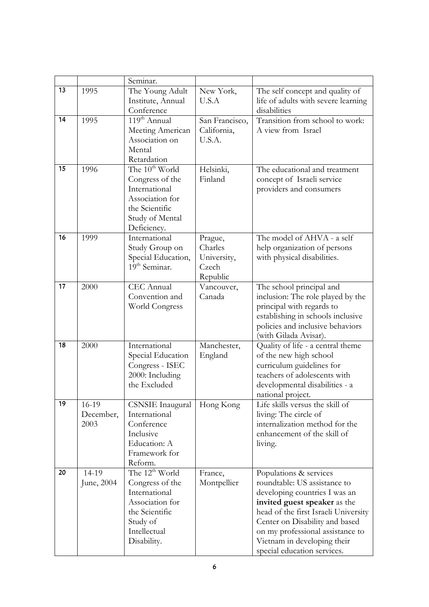|    |                            | Seminar.                                                                                                                                |                                                        |                                                                                                                                                                                                                                                                                                     |
|----|----------------------------|-----------------------------------------------------------------------------------------------------------------------------------------|--------------------------------------------------------|-----------------------------------------------------------------------------------------------------------------------------------------------------------------------------------------------------------------------------------------------------------------------------------------------------|
| 13 | 1995                       | The Young Adult                                                                                                                         | New York,                                              | The self concept and quality of                                                                                                                                                                                                                                                                     |
|    |                            | Institute, Annual<br>Conference                                                                                                         | U.S.A                                                  | life of adults with severe learning<br>disabilities                                                                                                                                                                                                                                                 |
| 14 | 1995                       | 119 <sup>th</sup> Annual<br>Meeting American<br>Association on<br>Mental<br>Retardation                                                 | San Francisco,<br>California,<br>U.S.A.                | Transition from school to work:<br>A view from Israel                                                                                                                                                                                                                                               |
| 15 | 1996                       | The $10^{th}$ World<br>Congress of the<br>International<br>Association for<br>the Scientific<br>Study of Mental<br>Deficiency.          | Helsinki,<br>Finland                                   | The educational and treatment<br>concept of Israeli service<br>providers and consumers                                                                                                                                                                                                              |
| 16 | 1999                       | International<br>Study Group on<br>Special Education,<br>19 <sup>th</sup> Seminar.                                                      | Prague,<br>Charles<br>University,<br>Czech<br>Republic | The model of AHVA - a self<br>help organization of persons<br>with physical disabilities.                                                                                                                                                                                                           |
| 17 | 2000                       | <b>CEC</b> Annual<br>Convention and<br>World Congress                                                                                   | Vancouver,<br>Canada                                   | The school principal and<br>inclusion: The role played by the<br>principal with regards to<br>establishing in schools inclusive<br>policies and inclusive behaviors<br>(with Gilada Avisar).                                                                                                        |
| 18 | 2000                       | International<br>Special Education<br>Congress - ISEC<br>2000: Including<br>the Excluded                                                | Manchester,<br>England                                 | Quality of life - a central theme<br>of the new high school<br>curriculum guidelines for<br>teachers of adolescents with<br>developmental disabilities - a<br>national project.                                                                                                                     |
| 19 | 16-19<br>December,<br>2003 | <b>CSNSIE</b> Inaugural<br>International<br>Conference<br>Inclusive<br>Education: A<br>Framework for<br>Reform.                         | Hong Kong                                              | Life skills versus the skill of<br>living: The circle of<br>internalization method for the<br>enhancement of the skill of<br>living.                                                                                                                                                                |
| 20 | 14-19<br>June, 2004        | The $12^{th}$ World<br>Congress of the<br>International<br>Association for<br>the Scientific<br>Study of<br>Intellectual<br>Disability. | France,<br>Montpellier                                 | Populations & services<br>roundtable: US assistance to<br>developing countries I was an<br>invited guest speaker as the<br>head of the first Israeli University<br>Center on Disability and based<br>on my professional assistance to<br>Vietnam in developing their<br>special education services. |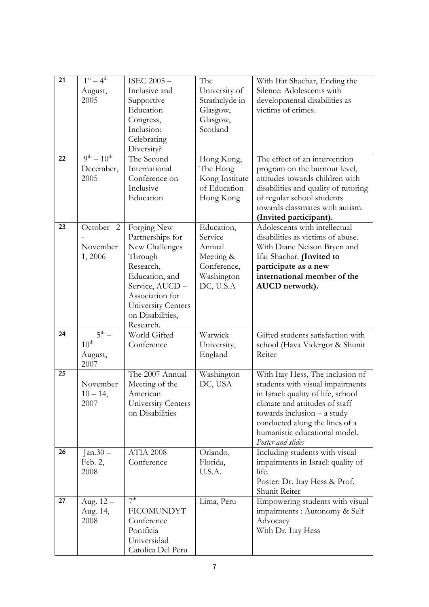| 21 | $1st - 4th$        | ISEC 2005-         | The            | With Ifat Shachar, Ending the        |
|----|--------------------|--------------------|----------------|--------------------------------------|
|    | August,            | Inclusive and      | University of  | Silence: Adolescents with            |
|    | 2005               | Supportive         | Strathclyde in | developmental disabilities as        |
|    |                    | Education          | Glasgow,       | victims of crimes.                   |
|    |                    | Congress,          | Glasgow,       |                                      |
|    |                    | Inclusion:         | Scotland       |                                      |
|    |                    | Celebrating        |                |                                      |
|    |                    | Diversity?         |                |                                      |
| 22 | $9^{th} - 10^{th}$ | The Second         | Hong Kong,     | The effect of an intervention        |
|    | December,          | International      | The Hong       | program on the burnout level,        |
|    | 2005               | Conference on      | Kong Institute | attitudes towards children with      |
|    |                    | Inclusive          | of Education   | disabilities and quality of tutoring |
|    |                    | Education          | Hong Kong      | of regular school students           |
|    |                    |                    |                | towards classmates with autism.      |
|    |                    |                    |                | (Invited participant).               |
| 23 | October 2          | Forging New        | Education,     | Adolescents with intellectual        |
|    |                    | Partnerships for   | Service        | disabilities as victims of abuse.    |
|    | November           | New Challenges     | Annual         | With Diane Nelson Bryen and          |
|    | 1,2006             | Through            | Meeting &      | Ifat Shachar. (Invited to            |
|    |                    | Research,          | Conference,    | participate as a new                 |
|    |                    | Education, and     | Washington     | international member of the          |
|    |                    | Service, AUCD -    | DC, U.S.A      | AUCD network).                       |
|    |                    | Association for    |                |                                      |
|    |                    | University Centers |                |                                      |
|    |                    | on Disabilities,   |                |                                      |
|    |                    | Research.          |                |                                      |
| 24 | $5^{\text{th}}$ –  | World Gifted       | Warwick        | Gifted students satisfaction with    |
|    | $10^{\text{th}}$   | Conference         | University,    | school (Hava Vidergor & Shunit       |
|    | August,            |                    | England        | Reiter                               |
| 25 | 2007               | The 2007 Annual    | Washington     | With Itay Hess, The inclusion of     |
|    | November           | Meeting of the     | DC, USA        | students with visual impairments     |
|    | $10 - 14$ ,        | American           |                | in Israel: quality of life, school   |
|    | 2007               | University Centers |                | climate and attitudes of staff       |
|    |                    | on Disabilities    |                | towards inclusion $-$ a study        |
|    |                    |                    |                | conducted along the lines of a       |
|    |                    |                    |                | humanistic educational model.        |
|    |                    |                    |                | Poster and slides                    |
| 26 | $Jan.30 -$         | <b>ATIA 2008</b>   | Orlando,       | Including students with visual       |
|    | Feb. 2,            | Conference         | Florida,       | impairments in Israel: quality of    |
|    | 2008               |                    | U.S.A.         | life.                                |
|    |                    |                    |                | Poster: Dr. Itay Hess & Prof.        |
|    |                    |                    |                | Shunit Reiter                        |
| 27 | Aug. 12 -          | 7 <sup>th</sup>    | Lima, Peru     | Empowering students with visual      |
|    | Aug. 14,           | <b>FICOMUNDYT</b>  |                | impairments : Autonomy & Self        |
|    | 2008               | Conference         |                | Advocacy                             |
|    |                    | Pontficia          |                | With Dr. Itay Hess                   |
|    |                    | Universidad        |                |                                      |
|    |                    | Catolica Del Peru  |                |                                      |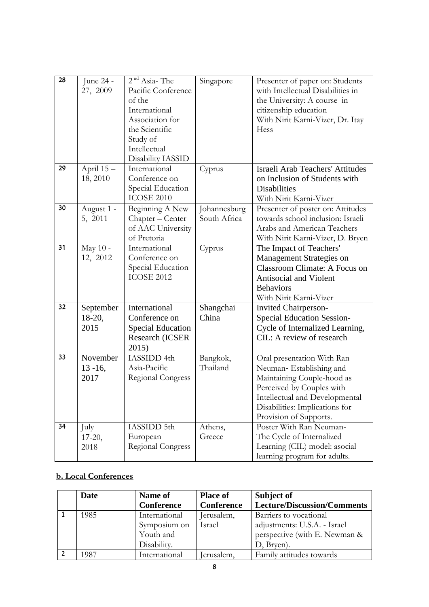| 28 |             | $2nd Asia-The$                         |                              |                                                                        |
|----|-------------|----------------------------------------|------------------------------|------------------------------------------------------------------------|
|    | June 24 -   |                                        | Singapore                    | Presenter of paper on: Students<br>with Intellectual Disabilities in   |
|    | 27, 2009    | Pacific Conference                     |                              |                                                                        |
|    |             | of the                                 |                              | the University: A course in                                            |
|    |             | International                          |                              | citizenship education                                                  |
|    |             | Association for                        |                              | With Nirit Karni-Vizer, Dr. Itay                                       |
|    |             | the Scientific                         |                              | Hess                                                                   |
|    |             | Study of                               |                              |                                                                        |
|    |             | Intellectual<br>Disability IASSID      |                              |                                                                        |
| 29 | April $15-$ | International                          |                              | Israeli Arab Teachers' Attitudes                                       |
|    |             | Conference on                          | Cyprus                       |                                                                        |
|    | 18, 2010    |                                        |                              | on Inclusion of Students with                                          |
|    |             | Special Education<br><b>ICOSE 2010</b> |                              | <b>Disabilities</b>                                                    |
|    |             |                                        |                              | With Nirit Karni-Vizer                                                 |
| 30 | August 1 -  | Beginning A New                        | Johannesburg<br>South Africa | Presenter of poster on: Attitudes<br>towards school inclusion: Israeli |
|    | 5, 2011     | Chapter – Center                       |                              | Arabs and American Teachers                                            |
|    |             | of AAC University                      |                              |                                                                        |
| 31 |             | of Pretoria<br>International           |                              | With Nirit Karni-Vizer, D. Bryen                                       |
|    | May 10 -    | Conference on                          | Cyprus                       | The Impact of Teachers'                                                |
|    | 12, 2012    |                                        |                              | Management Strategies on                                               |
|    |             | Special Education<br><b>ICOSE 2012</b> |                              | Classroom Climate: A Focus on                                          |
|    |             |                                        |                              | <b>Antisocial and Violent</b>                                          |
|    |             |                                        |                              | <b>Behaviors</b>                                                       |
|    |             |                                        |                              | With Nirit Karni-Vizer                                                 |
| 32 | September   | International                          | Shangchai                    | <b>Invited Chairperson-</b>                                            |
|    | $18-20,$    | Conference on                          | China                        | <b>Special Education Session-</b>                                      |
|    | 2015        | <b>Special Education</b>               |                              | Cycle of Internalized Learning,                                        |
|    |             | Research (ICSER                        |                              | CIL: A review of research                                              |
|    |             | 2015)                                  |                              |                                                                        |
| 33 | November    | IASSIDD 4th                            | Bangkok,                     | Oral presentation With Ran                                             |
|    | $13 - 16$ , | Asia-Pacific                           | Thailand                     | Neuman-Establishing and                                                |
|    | 2017        | Regional Congress                      |                              | Maintaining Couple-hood as                                             |
|    |             |                                        |                              | Perceived by Couples with                                              |
|    |             |                                        |                              | Intellectual and Developmental                                         |
|    |             |                                        |                              | Disabilities: Implications for                                         |
|    |             |                                        |                              | Provision of Supports.                                                 |
| 34 | July        | IASSIDD 5th                            | Athens,                      | Poster With Ran Neuman-                                                |
|    | $17-20$ ,   | European                               | Greece                       | The Cycle of Internalized                                              |
|    | 2018        | <b>Regional Congress</b>               |                              | Learning (CIL) model: asocial                                          |
|    |             |                                        |                              | learning program for adults.                                           |

# **b. Local Conferences**

| <b>Date</b> | Name of           | <b>Place of</b> | Subject of                         |
|-------------|-------------------|-----------------|------------------------------------|
|             | <b>Conference</b> | Conference      | <b>Lecture/Discussion/Comments</b> |
| 1985        | International     | Jerusalem,      | Barriers to vocational             |
|             | Symposium on      | Israel          | adjustments: U.S.A. - Israel       |
|             | Youth and         |                 | perspective (with E. Newman &      |
|             | Disability.       |                 | D, Bryen).                         |
| 1987        | International     | erusalem,       | Family attitudes towards           |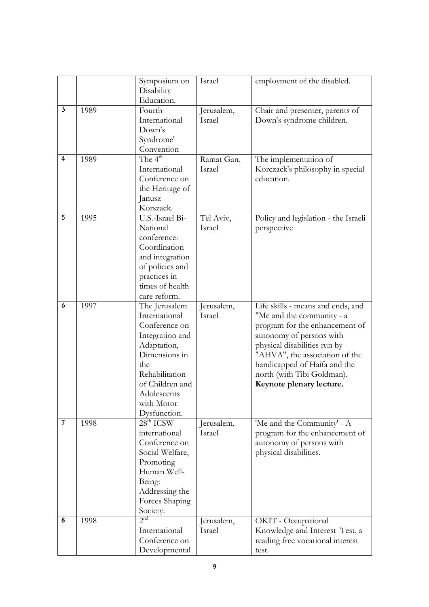|                         |      | Symposium on    | Israel     | employment of the disabled.          |
|-------------------------|------|-----------------|------------|--------------------------------------|
|                         |      | Disability      |            |                                      |
|                         |      | Education.      |            |                                      |
| $\overline{\mathbf{3}}$ | 1989 | Fourth          | Jerusalem, | Chair and presenter, parents of      |
|                         |      | International   | Israel     | Down's syndrome children.            |
|                         |      | Down's          |            |                                      |
|                         |      | Syndrome'       |            |                                      |
|                         |      | Convention      |            |                                      |
| $\overline{4}$          | 1989 | The $4th$       | Ramat Gan, | The implementation of                |
|                         |      | International   | Israel     | Korczack's philosophy in special     |
|                         |      | Conference on   |            | education.                           |
|                         |      | the Heritage of |            |                                      |
|                         |      | Janusz          |            |                                      |
|                         |      | Korszack.       |            |                                      |
| $\overline{5}$          | 1995 | U.S.-Israel Bi- | Tel Aviv,  | Policy and legislation - the Israeli |
|                         |      | National        | Israel     | perspective                          |
|                         |      | conference:     |            |                                      |
|                         |      | Coordination    |            |                                      |
|                         |      | and integration |            |                                      |
|                         |      | of policies and |            |                                      |
|                         |      | practices in    |            |                                      |
|                         |      | times of health |            |                                      |
|                         |      | care reform.    |            |                                      |
| 6                       | 1997 | The Jerusalem   | Jerusalem, | Life skills - means and ends, and    |
|                         |      | International   | Israel     | "Me and the community - a            |
|                         |      | Conference on   |            | program for the enhancement of       |
|                         |      | Integration and |            | autonomy of persons with             |
|                         |      | Adaptation,     |            | physical disabilities run by         |
|                         |      | Dimensions in   |            | "AHVA", the association of the       |
|                         |      | the             |            | handicapped of Haifa and the         |
|                         |      | Rehabilitation  |            | north (with Tibi Goldman).           |
|                         |      | of Children and |            | Keynote plenary lecture.             |
|                         |      | Adolescents     |            |                                      |
|                         |      | with Motor      |            |                                      |
|                         |      | Dysfunction.    |            |                                      |
| 7                       | 1998 | $28th$ ICSW     | Jerusalem, | 'Me and the Community' - A           |
|                         |      | international   | Israel     | program for the enhancement of       |
|                         |      | Conference on   |            | autonomy of persons with             |
|                         |      | Social Welfare, |            | physical disabilities.               |
|                         |      | Promoting       |            |                                      |
|                         |      | Human Well-     |            |                                      |
|                         |      | Being:          |            |                                      |
|                         |      | Addressing the  |            |                                      |
|                         |      | Forces Shaping  |            |                                      |
|                         |      | Society.        |            |                                      |
| 8                       | 1998 | 2 <sup>nd</sup> | Jerusalem, | OKIT - Occupational                  |
|                         |      | International   | Israel     | Knowledge and Interest Test, a       |
|                         |      | Conference on   |            | reading free vocational interest     |
|                         |      | Developmental   |            | test.                                |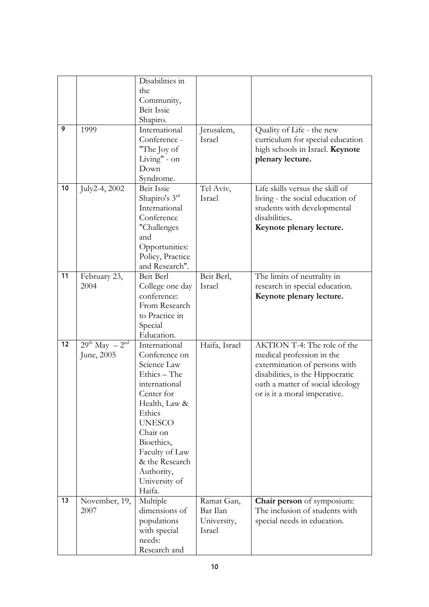|    |                         | Disabilities in<br>the      |               |                                  |
|----|-------------------------|-----------------------------|---------------|----------------------------------|
|    |                         | Community,                  |               |                                  |
|    |                         | <b>Beit Issie</b>           |               |                                  |
|    |                         | Shapiro.                    |               |                                  |
| 9  | 1999                    | International               | Jerusalem,    | Quality of Life - the new        |
|    |                         | Conference -                | Israel        | curriculum for special education |
|    |                         | "The Joy of                 |               | high schools in Israel. Keynote  |
|    |                         | Living" - on                |               | plenary lecture.                 |
|    |                         | Down                        |               |                                  |
|    |                         | Syndrome.                   |               |                                  |
| 10 | July2-4, 2002           | <b>Beit Issie</b>           | Tel Aviv,     | Life skills versus the skill of  |
|    |                         | Shapiro's 3rd               | Israel        | living - the social education of |
|    |                         | International               |               | students with developmental      |
|    |                         | Conference                  |               | disabilities.                    |
|    |                         | "Challenges                 |               | Keynote plenary lecture.         |
|    |                         | and<br>Opportunities:       |               |                                  |
|    |                         | Policy, Practice            |               |                                  |
|    |                         | and Research".              |               |                                  |
| 11 | February 23,            | Beit Berl                   | Beit Berl,    | The limits of neutrality in      |
|    | 2004                    | College one day             | Israel        | research in special education.   |
|    |                         | conference:                 |               | Keynote plenary lecture.         |
|    |                         | From Research               |               |                                  |
|    |                         | to Practice in              |               |                                  |
|    |                         | Special                     |               |                                  |
|    |                         | Education.                  |               |                                  |
| 12 | $29^{th}$ May $-2^{nd}$ | International               | Haifa, Israel | AKTION T-4: The role of the      |
|    | June, 2005              | Conference on               |               | medical profession in the        |
|    |                         | Science Law                 |               | extermination of persons with    |
|    |                         | Ethics - The                |               | disabilities, is the Hippocratic |
|    |                         | international               |               | oath a matter of social ideology |
|    |                         | Center for<br>Health, Law & |               | or is it a moral imperative.     |
|    |                         | Ethics                      |               |                                  |
|    |                         | <b>UNESCO</b>               |               |                                  |
|    |                         | Chair on                    |               |                                  |
|    |                         | Bioethics,                  |               |                                  |
|    |                         | Faculty of Law              |               |                                  |
|    |                         | & the Research              |               |                                  |
|    |                         | Authority,                  |               |                                  |
|    |                         | University of               |               |                                  |
|    |                         | Haifa.                      |               |                                  |
| 13 | November, 19,           | Multiple                    | Ramat Gan,    | Chair person of symposium:       |
|    | 2007                    | dimensions of               | Bar Ilan      | The inclusion of students with   |
|    |                         | populations                 | University,   | special needs in education.      |
|    |                         | with special                | Israel        |                                  |
|    |                         | needs:                      |               |                                  |
|    |                         | Research and                |               |                                  |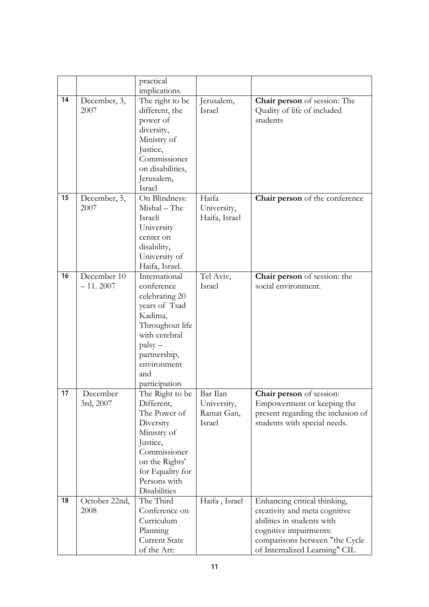|    |                           | practical                                                                                                                                                                         |                                                 |                                                                                                                                                                                          |
|----|---------------------------|-----------------------------------------------------------------------------------------------------------------------------------------------------------------------------------|-------------------------------------------------|------------------------------------------------------------------------------------------------------------------------------------------------------------------------------------------|
|    |                           | implications.                                                                                                                                                                     |                                                 |                                                                                                                                                                                          |
| 14 | December, 3,<br>2007      | The right to be<br>different, the<br>power of<br>diversity,<br>Ministry of<br>Justice,<br>Commissioner<br>on disabilities,<br>Jerusalem,<br>Israel                                | Jerusalem,<br>Israel                            | <b>Chair person</b> of session: The<br>Quality of life of included<br>students                                                                                                           |
| 15 | December, 5,<br>2007      | On Blindness:<br>Mishal - The<br>Israeli<br>University<br>center on<br>disability,<br>University of<br>Haifa, Israel.                                                             | Haifa<br>University,<br>Haifa, Israel           | Chair person of the conference                                                                                                                                                           |
| 16 | December 10<br>$-11.2007$ | International<br>conference<br>celebrating 20<br>years of Tsad<br>Kadima,<br>Throughout life<br>with cerebral<br>$palsy -$<br>partnership,<br>environment<br>and<br>participation | Tel Aviv,<br>Israel                             | <b>Chair person</b> of session: the<br>social environment.                                                                                                                               |
| 17 | December<br>3rd, 2007     | The Right to be<br>Different,<br>The Power of<br>Diversity<br>Ministry of<br>Justice,<br>Commissioner<br>on the Rights'<br>for Equality for<br>Persons with<br>Disabilities       | Bar Ilan<br>University,<br>Ramat Gan,<br>Israel | Chair person of session:<br>Empowerment or keeping the<br>present regarding the inclusion of<br>students with special needs.                                                             |
| 18 | October 22nd,<br>2008     | The Third<br>Conference on<br>Curriculum<br>Planning<br><b>Current State</b><br>of the Art:                                                                                       | Haifa, Israel                                   | Enhancing critical thinking,<br>creativity and meta cognitive<br>abilities in students with<br>cognitive impairments:<br>comparisons between "the Cycle<br>of Internalized Learning" CIL |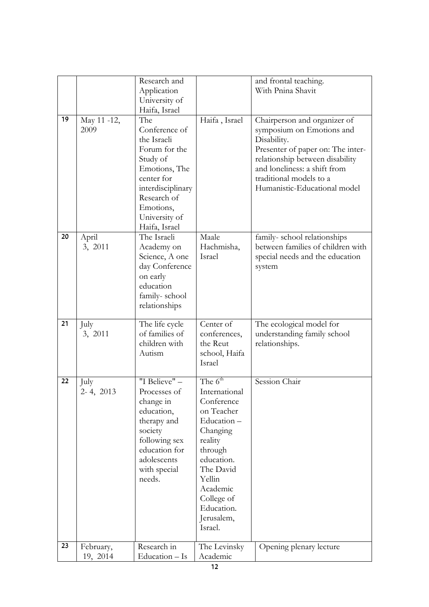|    |                       | Research and<br>Application      |                          | and frontal teaching.<br>With Pnina Shavit                           |
|----|-----------------------|----------------------------------|--------------------------|----------------------------------------------------------------------|
|    |                       | University of                    |                          |                                                                      |
| 19 | May 11 -12,           | Haifa, Israel<br>The             | Haifa, Israel            | Chairperson and organizer of                                         |
|    | 2009                  | Conference of                    |                          | symposium on Emotions and                                            |
|    |                       | the Israeli                      |                          | Disability.                                                          |
|    |                       | Forum for the<br>Study of        |                          | Presenter of paper on: The inter-<br>relationship between disability |
|    |                       | Emotions, The                    |                          | and loneliness: a shift from                                         |
|    |                       | center for<br>interdisciplinary  |                          | traditional models to a<br>Humanistic-Educational model              |
|    |                       | Research of                      |                          |                                                                      |
|    |                       | Emotions,                        |                          |                                                                      |
|    |                       | University of<br>Haifa, Israel   |                          |                                                                      |
| 20 | April                 | The Israeli                      | Maale                    | family-school relationships                                          |
|    | 3, 2011               | Academy on                       | Hachmisha,               | between families of children with                                    |
|    |                       | Science, A one<br>day Conference | Israel                   | special needs and the education<br>system                            |
|    |                       | on early                         |                          |                                                                      |
|    |                       | education<br>family-school       |                          |                                                                      |
|    |                       | relationships                    |                          |                                                                      |
| 21 | July                  | The life cycle                   | Center of                | The ecological model for                                             |
|    |                       |                                  |                          |                                                                      |
|    | 3, 2011               | of families of                   | conferences,             | understanding family school                                          |
|    |                       | children with                    | the Reut                 | relationships.                                                       |
|    |                       | Autism                           | school, Haifa<br>Israel  |                                                                      |
| 22 | July                  | "I Believe" -                    | The $6th$                | Session Chair                                                        |
|    | 2-4, 2013             | Processes of                     | International            |                                                                      |
|    |                       | change in                        | Conference<br>on Teacher |                                                                      |
|    |                       | education,<br>therapy and        | Education-               |                                                                      |
|    |                       | society                          | Changing                 |                                                                      |
|    |                       | following sex<br>education for   | reality<br>through       |                                                                      |
|    |                       | adolescents                      | education.               |                                                                      |
|    |                       | with special<br>needs.           | The David<br>Yellin      |                                                                      |
|    |                       |                                  | Academic                 |                                                                      |
|    |                       |                                  | College of<br>Education. |                                                                      |
|    |                       |                                  | Jerusalem,               |                                                                      |
|    |                       |                                  | Israel.                  |                                                                      |
| 23 | February,<br>19, 2014 | Research in<br>Education - Is    | The Levinsky<br>Academic | Opening plenary lecture                                              |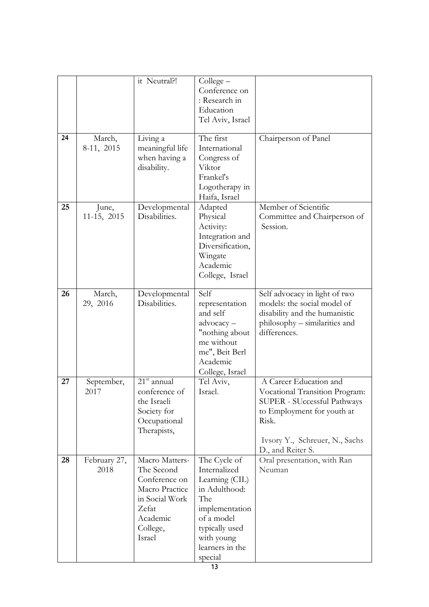|    |                      | it Neutral?!                                                                                                                 | Collect –<br>Conference on<br>: Research in<br>Education<br>Tel Aviv, Israel                                                                                         |                                                                                                                                                                                       |
|----|----------------------|------------------------------------------------------------------------------------------------------------------------------|----------------------------------------------------------------------------------------------------------------------------------------------------------------------|---------------------------------------------------------------------------------------------------------------------------------------------------------------------------------------|
| 24 | March,<br>8-11, 2015 | Living a<br>meaningful life<br>when having a<br>disability.                                                                  | The first<br>International<br>Congress of<br>Viktor<br>Frankel's<br>Logotherapy in<br>Haifa, Israel                                                                  | Chairperson of Panel                                                                                                                                                                  |
| 25 | June,<br>11-15, 2015 | Developmental<br>Disabilities.                                                                                               | Adapted<br>Physical<br>Activity:<br>Integration and<br>Diversification,<br>Wingate<br>Academic<br>College, Israel                                                    | Member of Scientific<br>Committee and Chairperson of<br>Session.                                                                                                                      |
| 26 | March,<br>29, 2016   | Developmental<br>Disabilities.                                                                                               | Self<br>representation<br>and self<br>advocacy-<br>"nothing about<br>me without<br>me", Beit Berl<br>Academic<br>College, Israel                                     | Self advocacy in light of two<br>models: the social model of<br>disability and the humanistic<br>philosophy – similarities and<br>differences.                                        |
| 27 | September,<br>2017   | $21st$ annual<br>conference of<br>the Israeli<br>Society for<br>Occupational<br>Therapists,                                  | Tel Aviv,<br>Israel.                                                                                                                                                 | A Career Education and<br>Vocational Transition Program:<br>SUPER - SUccessful Pathways<br>to Employment for youth at<br>Risk.<br>Ivsory Y., Schreuer, N., Sachs<br>D., and Reiter S. |
| 28 | February 27,<br>2018 | Macro Matters-<br>The Second<br>Conference on<br>Macro Practice<br>in Social Work<br>Zefat<br>Academic<br>College,<br>Israel | The Cycle of<br>Internalized<br>Learning (CIL)<br>in Adulthood:<br>The<br>implementation<br>of a model<br>typically used<br>with young<br>learners in the<br>special | Oral presentation, with Ran<br>Neuman                                                                                                                                                 |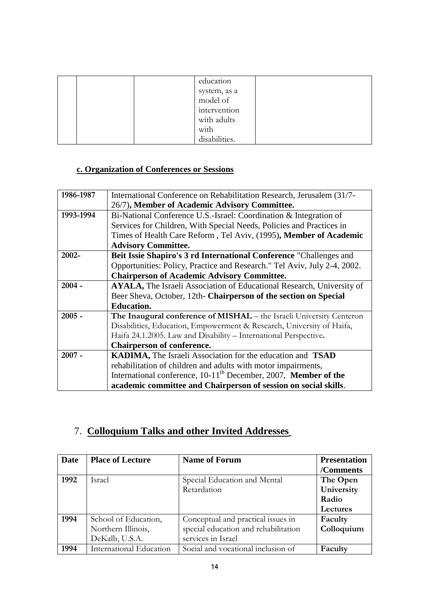|  | education     |  |
|--|---------------|--|
|  | system, as a  |  |
|  | model of      |  |
|  | intervention  |  |
|  | with adults   |  |
|  | with          |  |
|  | disabilities. |  |

# **c. Organization of Conferences or Sessions**

| 1986-1987 | International Conference on Rehabilitation Research, Jerusalem (31/7-         |
|-----------|-------------------------------------------------------------------------------|
|           | 26/7), Member of Academic Advisory Committee.                                 |
| 1993-1994 | Bi-National Conference U.S.-Israel: Coordination & Integration of             |
|           | Services for Children, With Special Needs, Policies and Practices in          |
|           | Times of Health Care Reform, Tel Aviv, (1995), Member of Academic             |
|           | <b>Advisory Committee.</b>                                                    |
| 2002-     | Beit Issie Shapiro's 3 rd International Conference "Challenges and            |
|           | Opportunities: Policy, Practice and Research." Tel Aviv, July 2-4, 2002.      |
|           | <b>Chairperson of Academic Advisory Committee.</b>                            |
| $2004 -$  | AYALA, The Israeli Association of Educational Research, University of         |
|           | Beer Sheva, October, 12th- Chairperson of the section on Special              |
|           | <b>Education.</b>                                                             |
| $2005 -$  | The Inaugural conference of MISHAL - the Israeli University Centeron          |
|           | Disabilities, Education, Empowerment & Research, University of Haifa,         |
|           | Haifa 24.1.2005. Law and Disability - International Perspective.              |
|           | <b>Chairperson of conference.</b>                                             |
| $2007 -$  | <b>KADIMA, The Israeli Association for the education and TSAD</b>             |
|           | rehabilitation of children and adults with motor impairments,                 |
|           | International conference, $10-11$ <sup>th</sup> December, 2007, Member of the |
|           | academic committee and Chairperson of session on social skills.               |

# 7. **Colloquium Talks and other Invited Addresses**

| Date | <b>Place of Lecture</b> | <b>Name of Forum</b>                 | <b>Presentation</b> |
|------|-------------------------|--------------------------------------|---------------------|
|      |                         |                                      | /Comments           |
| 1992 | <b>Israel</b>           | Special Education and Mental         | The Open            |
|      |                         | Retardation                          | University          |
|      |                         |                                      | Radio               |
|      |                         |                                      | Lectures            |
| 1994 | School of Education,    | Conceptual and practical issues in   | Faculty             |
|      | Northern Illinois,      | special education and rehabilitation | Colloquium          |
|      | DeKalb, U.S.A.          | services in Israel                   |                     |
| 1994 | International Education | Social and vocational inclusion of   | Faculty             |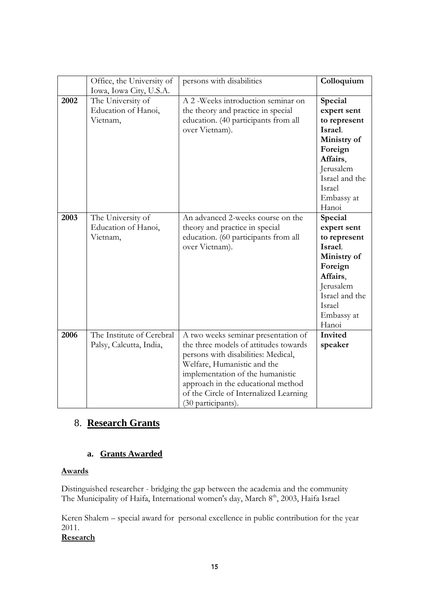|      | Office, the University of                            | persons with disabilities                                                                                                                                                                                                                                                                    | Colloquium                                                                                                                                              |
|------|------------------------------------------------------|----------------------------------------------------------------------------------------------------------------------------------------------------------------------------------------------------------------------------------------------------------------------------------------------|---------------------------------------------------------------------------------------------------------------------------------------------------------|
|      | Iowa, Iowa City, U.S.A.                              |                                                                                                                                                                                                                                                                                              |                                                                                                                                                         |
| 2002 | The University of<br>Education of Hanoi,<br>Vietnam, | A 2 - Weeks introduction seminar on<br>the theory and practice in special<br>education. (40 participants from all<br>over Vietnam).                                                                                                                                                          | Special<br>expert sent<br>to represent<br>Israel.<br>Ministry of<br>Foreign<br>Affairs,<br>Jerusalem<br>Israel and the<br>Israel<br>Embassy at<br>Hanoi |
| 2003 | The University of<br>Education of Hanoi,<br>Vietnam, | An advanced 2-weeks course on the<br>theory and practice in special<br>education. (60 participants from all<br>over Vietnam).                                                                                                                                                                | Special<br>expert sent<br>to represent<br>Israel.<br>Ministry of<br>Foreign<br>Affairs,<br>Jerusalem<br>Israel and the<br>Israel<br>Embassy at<br>Hanoi |
| 2006 | The Institute of Cerebral<br>Palsy, Calcutta, India, | A two weeks seminar presentation of<br>the three models of attitudes towards<br>persons with disabilities: Medical,<br>Welfare, Humanistic and the<br>implementation of the humanistic<br>approach in the educational method<br>of the Circle of Internalized Learning<br>(30 participants). | Invited<br>speaker                                                                                                                                      |

# 8. **Research Grants**

#### **a. Grants Awarded**

#### **Awards**

Distinguished researcher - bridging the gap between the academia and the community The Municipality of Haifa, International women's day, March 8<sup>th</sup>, 2003, Haifa Israel

Keren Shalem – special award for personal excellence in public contribution for the year 2011.

#### **Research**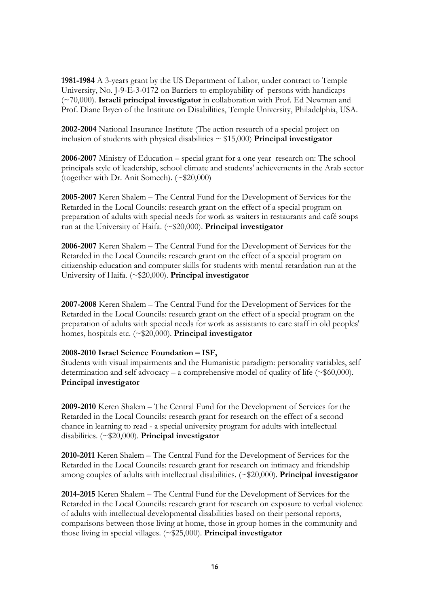**1981-1984** A 3-years grant by the US Department of Labor, under contract to Temple University, No. J-9-E-3-0172 on Barriers to employability of persons with handicaps (~70,000). **Israeli principal investigator** in collaboration with Prof. Ed Newman and Prof. Diane Bryen of the Institute on Disabilities, Temple University, Philadelphia, USA.

**2002-2004** National Insurance Institute (The action research of a special project on inclusion of students with physical disabilities  $\sim$  \$15,000) **Principal investigator** 

**2006-2007** Ministry of Education – special grant for a one year research on: The school principals style of leadership, school climate and students' achievements in the Arab sector (together with Dr. Anit Somech). (~\$20,000)

**2005-2007** Keren Shalem – The Central Fund for the Development of Services for the Retarded in the Local Councils: research grant on the effect of a special program on preparation of adults with special needs for work as waiters in restaurants and café soups run at the University of Haifa. (~\$20,000). **Principal investigator**

**2006-2007** Keren Shalem – The Central Fund for the Development of Services for the Retarded in the Local Councils: research grant on the effect of a special program on citizenship education and computer skills for students with mental retardation run at the University of Haifa. (~\$20,000). **Principal investigator**

**2007-2008** Keren Shalem – The Central Fund for the Development of Services for the Retarded in the Local Councils: research grant on the effect of a special program on the preparation of adults with special needs for work as assistants to care staff in old peoples' homes, hospitals etc. (~\$20,000). **Principal investigator**

#### **2008-2010 Israel Science Foundation – ISF,**

Students with visual impairments and the Humanistic paradigm: personality variables, self determination and self advocacy – a comprehensive model of quality of life ( $\sim$ \$60,000). **Principal investigator**

**2009-2010** Keren Shalem – The Central Fund for the Development of Services for the Retarded in the Local Councils: research grant for research on the effect of a second chance in learning to read - a special university program for adults with intellectual disabilities. (~\$20,000). **Principal investigator** 

**2010-2011** Keren Shalem – The Central Fund for the Development of Services for the Retarded in the Local Councils: research grant for research on intimacy and friendship among couples of adults with intellectual disabilities. (~\$20,000). **Principal investigator** 

**2014-2015** Keren Shalem – The Central Fund for the Development of Services for the Retarded in the Local Councils: research grant for research on exposure to verbal violence of adults with intellectual developmental disabilities based on their personal reports, comparisons between those living at home, those in group homes in the community and those living in special villages. (~\$25,000). **Principal investigator**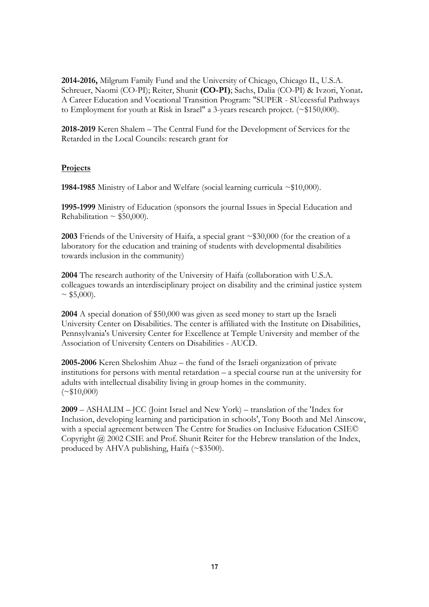**2014-2016,** Milgrum Family Fund and the University of Chicago, Chicago IL, U.S.A. Schreuer, Naomi (CO-PI); Reiter, Shunit **(CO-PI)**; Sachs, Dalia (CO-PI) & Ivzori, Yonat**.** A Career Education and Vocational Transition Program: "SUPER - SUccessful Pathways to Employment for youth at Risk in Israel" a 3-years research project. (~\$150,000).

**2018-2019** Keren Shalem – The Central Fund for the Development of Services for the Retarded in the Local Councils: research grant for

#### **Projects**

**1984-1985** Ministry of Labor and Welfare (social learning curricula ~\$10,000).

**1995-1999** Ministry of Education (sponsors the journal Issues in Special Education and Rehabilitation  $\sim$  \$50,000).

**2003** Friends of the University of Haifa, a special grant ~\$30,000 (for the creation of a laboratory for the education and training of students with developmental disabilities towards inclusion in the community)

**2004** The research authority of the University of Haifa (collaboration with U.S.A. colleagues towards an interdisciplinary project on disability and the criminal justice system  $\sim$  \$5,000).

**2004** A special donation of \$50,000 was given as seed money to start up the Israeli University Center on Disabilities. The center is affiliated with the Institute on Disabilities, Pennsylvania's University Center for Excellence at Temple University and member of the Association of University Centers on Disabilities - AUCD.

**2005-2006** Keren Sheloshim Ahuz – the fund of the Israeli organization of private institutions for persons with mental retardation – a special course run at the university for adults with intellectual disability living in group homes in the community.  $({\sim} $10,000)$ 

**2009** – ASHALIM – JCC (Joint Israel and New York) – translation of the 'Index for Inclusion, developing learning and participation in schools', Tony Booth and Mel Ainscow, with a special agreement between The Centre for Studies on Inclusive Education CSIE© Copyright @ 2002 CSIE and Prof. Shunit Reiter for the Hebrew translation of the Index, produced by AHVA publishing, Haifa (~\$3500).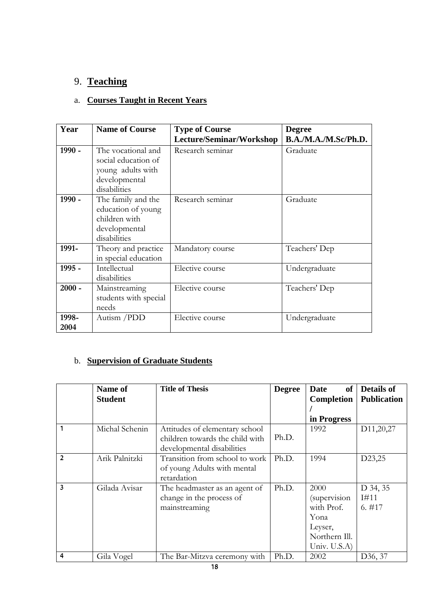# 9. **Teaching**

# a. **Courses Taught in Recent Years**

| Year          | <b>Name of Course</b>                                                                           | <b>Type of Course</b>    | <b>Degree</b>        |
|---------------|-------------------------------------------------------------------------------------------------|--------------------------|----------------------|
|               |                                                                                                 | Lecture/Seminar/Workshop | B.A./M.A./M.Sc/Ph.D. |
| $1990 -$      | The vocational and<br>social education of<br>young adults with<br>developmental<br>disabilities | Research seminar         | Graduate             |
| $1990 -$      | The family and the<br>education of young<br>children with<br>developmental<br>disabilities      | Research seminar         | Graduate             |
| 1991-         | Theory and practice<br>in special education                                                     | Mandatory course         | Teachers' Dep        |
| 1995 -        | Intellectual<br>disabilities                                                                    | Elective course          | Undergraduate        |
| $2000 -$      | Mainstreaming<br>students with special<br>needs                                                 | Elective course          | Teachers' Dep        |
| 1998-<br>2004 | Autism /PDD                                                                                     | Elective course          | Undergraduate        |

# b. **Supervision of Graduate Students**

|                | Name of        | <b>Title of Thesis</b>          | <b>Degree</b> | of<br>Date        | <b>Details of</b>      |
|----------------|----------------|---------------------------------|---------------|-------------------|------------------------|
|                | <b>Student</b> |                                 |               | <b>Completion</b> | <b>Publication</b>     |
|                |                |                                 |               |                   |                        |
|                |                |                                 |               | in Progress       |                        |
|                | Michal Schenin | Attitudes of elementary school  |               | 1992              | D <sub>11</sub> ,20,27 |
|                |                | children towards the child with | Ph.D.         |                   |                        |
|                |                | developmental disabilities      |               |                   |                        |
| $\overline{2}$ | Arik Palnitzki | Transition from school to work  | Ph.D.         | 1994              | D23,25                 |
|                |                | of young Adults with mental     |               |                   |                        |
|                |                | retardation                     |               |                   |                        |
| 3              | Gilada Avisar  | The headmaster as an agent of   | Ph.D.         | 2000              | D 34, 35               |
|                |                | change in the process of        |               | (supervision      | I#11                   |
|                |                | mainstreaming                   |               | with Prof.        | $6. \#17$              |
|                |                |                                 |               | Yona              |                        |
|                |                |                                 |               | Leyser,           |                        |
|                |                |                                 |               | Northern Ill.     |                        |
|                |                |                                 |               | Univ. U.S.A)      |                        |
| 4              | Gila Vogel     | The Bar-Mitzva ceremony with    | Ph.D.         | 2002              | D36, 37                |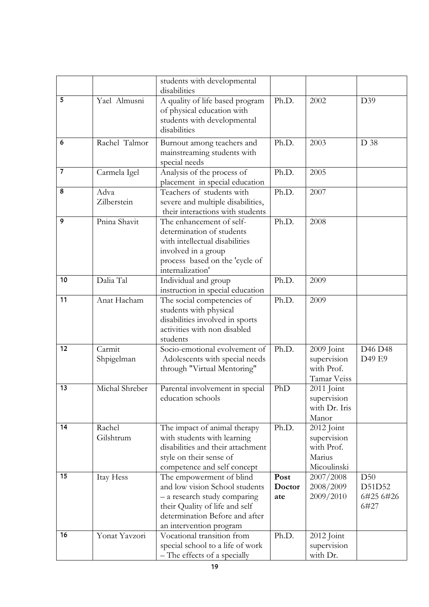|                |                     | students with developmental                                                                  |        |                           |           |
|----------------|---------------------|----------------------------------------------------------------------------------------------|--------|---------------------------|-----------|
| 5              | Yael Almusni        | disabilities                                                                                 | Ph.D.  | 2002                      |           |
|                |                     | A quality of life based program<br>of physical education with<br>students with developmental |        |                           | D39       |
|                |                     | disabilities                                                                                 |        |                           |           |
| 6              | Rachel Talmor       | Burnout among teachers and                                                                   | Ph.D.  | 2003                      | D 38      |
|                |                     | mainstreaming students with                                                                  |        |                           |           |
|                |                     | special needs                                                                                |        |                           |           |
| $\overline{7}$ | Carmela Igel        | Analysis of the process of                                                                   | Ph.D.  | 2005                      |           |
| 8              |                     | placement in special education                                                               |        |                           |           |
|                | Adva<br>Zilberstein | Teachers of students with                                                                    | Ph.D.  | 2007                      |           |
|                |                     | severe and multiple disabilities,<br>their interactions with students                        |        |                           |           |
| 9              | Pnina Shavit        | The enhancement of self-                                                                     | Ph.D.  | 2008                      |           |
|                |                     | determination of students                                                                    |        |                           |           |
|                |                     | with intellectual disabilities                                                               |        |                           |           |
|                |                     | involved in a group                                                                          |        |                           |           |
|                |                     | process based on the 'cycle of                                                               |        |                           |           |
|                |                     | internalization'                                                                             |        |                           |           |
| 10             | Dalia Tal           | Individual and group                                                                         | Ph.D.  | 2009                      |           |
|                |                     | instruction in special education                                                             |        |                           |           |
| 11             | Anat Hacham         | The social competencies of                                                                   | Ph.D.  | 2009                      |           |
|                |                     | students with physical                                                                       |        |                           |           |
|                |                     | disabilities involved in sports<br>activities with non disabled                              |        |                           |           |
|                |                     | students                                                                                     |        |                           |           |
| 12             | Carmit              | Socio-emotional evolvement of                                                                | Ph.D.  | 2009 Joint                | D46 D48   |
|                | Shpigelman          | Adolescents with special needs                                                               |        | supervision               | D49 E9    |
|                |                     | through "Virtual Mentoring"                                                                  |        | with Prof.                |           |
|                |                     |                                                                                              |        | Tamar Veiss               |           |
| 13             | Michal Shreber      | Parental involvement in special                                                              | PhD    | 2011 Joint                |           |
|                |                     | education schools                                                                            |        | supervision               |           |
|                |                     |                                                                                              |        | with Dr. Iris             |           |
|                |                     |                                                                                              |        | Manor                     |           |
| 14             | Rachel<br>Gilshtrum | The impact of animal therapy                                                                 | Ph.D.  | 2012 Joint                |           |
|                |                     | with students with learning<br>disabilities and their attachment                             |        | supervision<br>with Prof. |           |
|                |                     | style on their sense of                                                                      |        | Marius                    |           |
|                |                     | competence and self concept                                                                  |        | Micoulinski               |           |
| 15             | Itay Hess           | The empowerment of blind                                                                     | Post   | 2007/2008                 | D50       |
|                |                     | and low vision School students                                                               | Doctor | 2008/2009                 | D51D52    |
|                |                     | - a research study comparing                                                                 | ate    | 2009/2010                 | 6#25 6#26 |
|                |                     | their Quality of life and self                                                               |        |                           | 6#27      |
|                |                     | determination Before and after                                                               |        |                           |           |
|                |                     | an intervention program                                                                      |        |                           |           |
| 16             | Yonat Yavzori       | Vocational transition from                                                                   | Ph.D.  | 2012 Joint                |           |
|                |                     | special school to a life of work                                                             |        | supervision               |           |
|                |                     | - The effects of a specially                                                                 |        | with Dr.                  |           |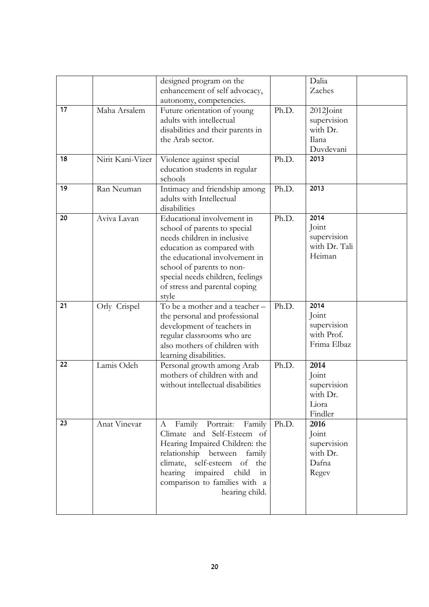|    |                  | designed program on the           |       | Dalia         |  |
|----|------------------|-----------------------------------|-------|---------------|--|
|    |                  | enhancement of self advocacy,     |       | Zaches        |  |
|    |                  | autonomy, competencies.           |       |               |  |
| 17 | Maha Arsalem     | Future orientation of young       | Ph.D. | 2012Joint     |  |
|    |                  | adults with intellectual          |       | supervision   |  |
|    |                  | disabilities and their parents in |       | with Dr.      |  |
|    |                  | the Arab sector.                  |       | Ilana         |  |
|    |                  |                                   |       | Duvdevani     |  |
| 18 | Nirit Kani-Vizer | Violence against special          | Ph.D. | 2013          |  |
|    |                  | education students in regular     |       |               |  |
|    |                  | schools                           |       |               |  |
| 19 | Ran Neuman       | Intimacy and friendship among     | Ph.D. | 2013          |  |
|    |                  | adults with Intellectual          |       |               |  |
|    |                  | disabilities                      |       |               |  |
| 20 | Aviva Lavan      | Educational involvement in        | Ph.D. | 2014          |  |
|    |                  | school of parents to special      |       | Joint         |  |
|    |                  | needs children in inclusive       |       | supervision   |  |
|    |                  | education as compared with        |       | with Dr. Tali |  |
|    |                  | the educational involvement in    |       | Heiman        |  |
|    |                  | school of parents to non-         |       |               |  |
|    |                  | special needs children, feelings  |       |               |  |
|    |                  | of stress and parental coping     |       |               |  |
|    |                  | style                             |       |               |  |
| 21 | Orly Crispel     | To be a mother and a teacher -    | Ph.D. | 2014          |  |
|    |                  | the personal and professional     |       | Joint         |  |
|    |                  | development of teachers in        |       | supervision   |  |
|    |                  | regular classrooms who are        |       | with Prof.    |  |
|    |                  | also mothers of children with     |       | Frima Elbaz   |  |
|    |                  | learning disabilities.            |       |               |  |
| 22 | Lamis Odeh       | Personal growth among Arab        | Ph.D. | 2014          |  |
|    |                  | mothers of children with and      |       | Joint         |  |
|    |                  | without intellectual disabilities |       | supervision   |  |
|    |                  |                                   |       | with Dr.      |  |
|    |                  |                                   |       | Liora         |  |
|    |                  |                                   |       | Findler       |  |
| 23 | Anat Vinevar     | Family Portrait:<br>Family<br>A   | Ph.D. | 2016          |  |
|    |                  | Climate and Self-Esteem of        |       | Joint         |  |
|    |                  | Hearing Impaired Children: the    |       | supervision   |  |
|    |                  | relationship between<br>family    |       | with Dr.      |  |
|    |                  | climate, self-esteem of the       |       | Dafna         |  |
|    |                  | hearing impaired<br>child<br>in   |       | Regev         |  |
|    |                  | comparison to families with a     |       |               |  |
|    |                  | hearing child.                    |       |               |  |
|    |                  |                                   |       |               |  |
|    |                  |                                   |       |               |  |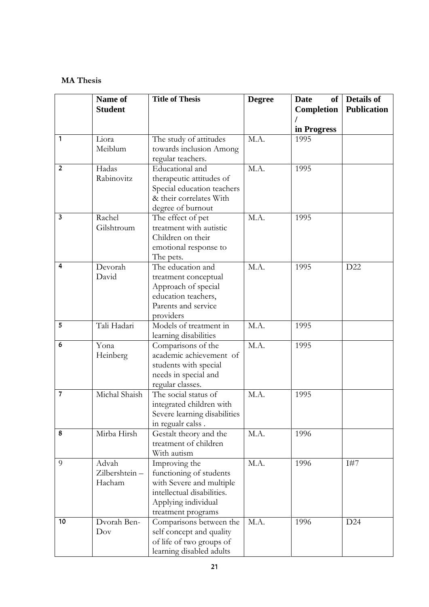#### **MA Thesis**

|                         | Name of        | <b>Title of Thesis</b>                     | <b>Degree</b> | <b>Date</b><br><b>of</b> | <b>Details of</b>  |
|-------------------------|----------------|--------------------------------------------|---------------|--------------------------|--------------------|
|                         | <b>Student</b> |                                            |               | <b>Completion</b>        | <b>Publication</b> |
|                         |                |                                            |               | in Progress              |                    |
| 1                       | Liora          | The study of attitudes                     | M.A.          | 1995                     |                    |
|                         | Meiblum        | towards inclusion Among                    |               |                          |                    |
|                         |                | regular teachers.                          |               |                          |                    |
| $\overline{2}$          | Hadas          | Educational and                            | M.A.          | 1995                     |                    |
|                         | Rabinovitz     | therapeutic attitudes of                   |               |                          |                    |
|                         |                | Special education teachers                 |               |                          |                    |
|                         |                | & their correlates With                    |               |                          |                    |
|                         |                | degree of burnout                          |               |                          |                    |
| $\overline{\mathbf{3}}$ | Rachel         | The effect of pet                          | M.A.          | 1995                     |                    |
|                         | Gilshtroum     | treatment with autistic                    |               |                          |                    |
|                         |                | Children on their                          |               |                          |                    |
|                         |                | emotional response to                      |               |                          |                    |
|                         |                | The pets.                                  |               |                          |                    |
| 4                       | Devorah        | The education and                          | M.A.          | 1995                     | D22                |
|                         | David          | treatment conceptual                       |               |                          |                    |
|                         |                | Approach of special<br>education teachers, |               |                          |                    |
|                         |                | Parents and service                        |               |                          |                    |
|                         |                | providers                                  |               |                          |                    |
| 5                       | Tali Hadari    | Models of treatment in                     | M.A.          | 1995                     |                    |
|                         |                | learning disabilities                      |               |                          |                    |
| 6                       | Yona           | Comparisons of the                         | M.A.          | 1995                     |                    |
|                         | Heinberg       | academic achievement of                    |               |                          |                    |
|                         |                | students with special                      |               |                          |                    |
|                         |                | needs in special and                       |               |                          |                    |
|                         |                | regular classes.                           |               |                          |                    |
| $\overline{7}$          | Michal Shaish  | The social status of                       | M.A.          | 1995                     |                    |
|                         |                | integrated children with                   |               |                          |                    |
|                         |                | Severe learning disabilities               |               |                          |                    |
|                         |                | in regualr calss.                          |               |                          |                    |
| 8                       | Mirba Hirsh    | Gestalt theory and the                     | M.A.          | 1996                     |                    |
|                         |                | treatment of children<br>With autism       |               |                          |                    |
| 9                       | Advah          |                                            | M.A.          | 1996                     | I#7                |
|                         | Zilbershtein-  | Improving the<br>functioning of students   |               |                          |                    |
|                         | Hacham         | with Severe and multiple                   |               |                          |                    |
|                         |                | intellectual disabilities.                 |               |                          |                    |
|                         |                | Applying individual                        |               |                          |                    |
|                         |                | treatment programs                         |               |                          |                    |
| 10                      | Dvorah Ben-    | Comparisons between the                    | M.A.          | 1996                     | D24                |
|                         | Dov            | self concept and quality                   |               |                          |                    |
|                         |                | of life of two groups of                   |               |                          |                    |
|                         |                | learning disabled adults                   |               |                          |                    |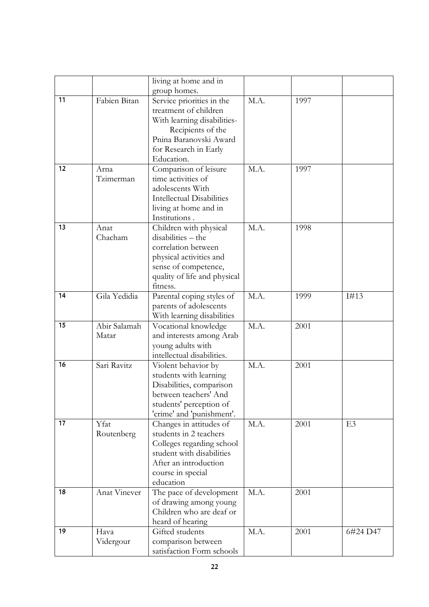|    |                       | living at home and in                                                                                                                                                   |      |      |                |
|----|-----------------------|-------------------------------------------------------------------------------------------------------------------------------------------------------------------------|------|------|----------------|
|    |                       | group homes.                                                                                                                                                            |      |      |                |
| 11 | Fabien Bitan          | Service priorities in the<br>treatment of children<br>With learning disabilities-<br>Recipients of the<br>Pnina Baranovski Award<br>for Research in Early<br>Education. | M.A. | 1997 |                |
| 12 | Arna<br>Tzimerman     | Comparison of leisure<br>time activities of<br>adolescents With<br><b>Intellectual Disabilities</b><br>living at home and in<br>Institutions.                           | M.A. | 1997 |                |
| 13 | Anat<br>Chacham       | Children with physical<br>disabilities - the<br>correlation between<br>physical activities and<br>sense of competence,<br>quality of life and physical<br>fitness.      | M.A. | 1998 |                |
| 14 | Gila Yedidia          | Parental coping styles of<br>parents of adolescents<br>With learning disabilities                                                                                       | M.A. | 1999 | I#13           |
| 15 | Abir Salamah<br>Matar | Vocational knowledge<br>and interests among Arab<br>young adults with<br>intellectual disabilities.                                                                     | M.A. | 2001 |                |
| 16 | Sari Ravitz           | Violent behavior by<br>students with learning<br>Disabilities, comparison<br>between teachers' And<br>students' perception of<br>'crime' and 'punishment'.              | M.A. | 2001 |                |
| 17 | Yfat<br>Routenberg    | Changes in attitudes of<br>students in 2 teachers<br>Colleges regarding school<br>student with disabilities<br>After an introduction<br>course in special<br>education  | M.A. | 2001 | E <sub>3</sub> |
| 18 | Anat Vinever          | The pace of development<br>of drawing among young<br>Children who are deaf or<br>heard of hearing                                                                       | M.A. | 2001 |                |
| 19 | Hava<br>Vidergour     | Gifted students<br>comparison between<br>satisfaction Form schools                                                                                                      | M.A. | 2001 | 6#24 D47       |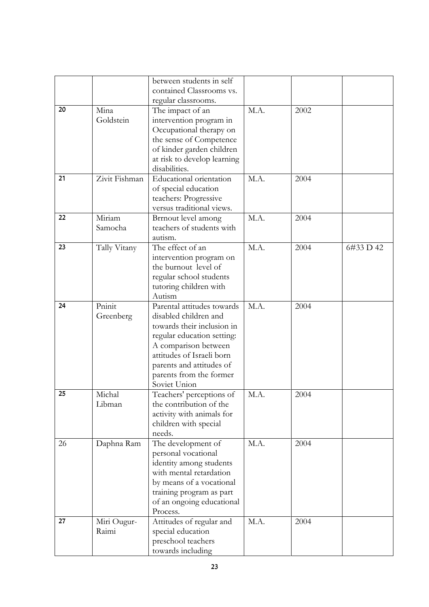|    |               | between students in self                           |      |      |           |
|----|---------------|----------------------------------------------------|------|------|-----------|
|    |               | contained Classrooms vs.                           |      |      |           |
|    |               | regular classrooms.                                |      |      |           |
| 20 | Mina          | The impact of an                                   | M.A. | 2002 |           |
|    | Goldstein     | intervention program in                            |      |      |           |
|    |               | Occupational therapy on                            |      |      |           |
|    |               | the sense of Competence                            |      |      |           |
|    |               | of kinder garden children                          |      |      |           |
|    |               | at risk to develop learning                        |      |      |           |
|    |               | disabilities.                                      |      |      |           |
| 21 | Zivit Fishman | Educational orientation                            | M.A. | 2004 |           |
|    |               | of special education                               |      |      |           |
|    |               | teachers: Progressive                              |      |      |           |
| 22 | Miriam        | versus traditional views.                          | M.A. | 2004 |           |
|    | Samocha       | Brrnout level among<br>teachers of students with   |      |      |           |
|    |               | autism.                                            |      |      |           |
| 23 | Tally Vitany  | The effect of an                                   | M.A. | 2004 | 6#33 D 42 |
|    |               | intervention program on                            |      |      |           |
|    |               | the burnout level of                               |      |      |           |
|    |               | regular school students                            |      |      |           |
|    |               | tutoring children with                             |      |      |           |
|    |               | Autism                                             |      |      |           |
| 24 | Pninit        | Parental attitudes towards                         | M.A. | 2004 |           |
|    | Greenberg     | disabled children and                              |      |      |           |
|    |               | towards their inclusion in                         |      |      |           |
|    |               | regular education setting:                         |      |      |           |
|    |               | A comparison between                               |      |      |           |
|    |               | attitudes of Israeli born                          |      |      |           |
|    |               | parents and attitudes of                           |      |      |           |
|    |               | parents from the former                            |      |      |           |
| 25 | Michal        | Soviet Union                                       |      |      |           |
|    |               | Teachers' perceptions of                           | M.A. | 2004 |           |
|    | Libman        | the contribution of the                            |      |      |           |
|    |               | activity with animals for<br>children with special |      |      |           |
|    |               | needs.                                             |      |      |           |
| 26 | Daphna Ram    | The development of                                 | M.A. | 2004 |           |
|    |               | personal vocational                                |      |      |           |
|    |               | identity among students                            |      |      |           |
|    |               | with mental retardation                            |      |      |           |
|    |               | by means of a vocational                           |      |      |           |
|    |               | training program as part                           |      |      |           |
|    |               | of an ongoing educational                          |      |      |           |
|    |               | Process.                                           |      |      |           |
| 27 | Miri Ougur-   | Attitudes of regular and                           | M.A. | 2004 |           |
|    | Raimi         | special education                                  |      |      |           |
|    |               | preschool teachers                                 |      |      |           |
|    |               | towards including                                  |      |      |           |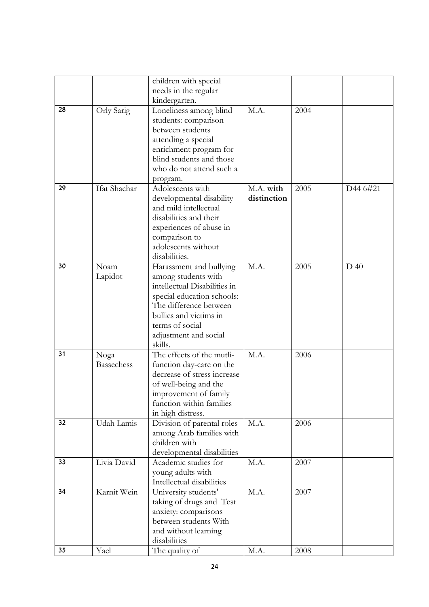|    |                   | children with special        |             |      |          |
|----|-------------------|------------------------------|-------------|------|----------|
|    |                   | needs in the regular         |             |      |          |
|    |                   | kindergarten.                |             |      |          |
| 28 | Orly Sarig        | Loneliness among blind       | M.A.        | 2004 |          |
|    |                   | students: comparison         |             |      |          |
|    |                   | between students             |             |      |          |
|    |                   | attending a special          |             |      |          |
|    |                   | enrichment program for       |             |      |          |
|    |                   | blind students and those     |             |      |          |
|    |                   | who do not attend such a     |             |      |          |
|    |                   | program.                     |             |      |          |
| 29 | Ifat Shachar      | Adolescents with             | M.A. with   | 2005 | D44 6#21 |
|    |                   | developmental disability     | distinction |      |          |
|    |                   | and mild intellectual        |             |      |          |
|    |                   | disabilities and their       |             |      |          |
|    |                   | experiences of abuse in      |             |      |          |
|    |                   | comparison to                |             |      |          |
|    |                   | adolescents without          |             |      |          |
|    |                   | disabilities.                |             |      |          |
| 30 | Noam              | Harassment and bullying      | M.A.        | 2005 | $D$ 40   |
|    | Lapidot           | among students with          |             |      |          |
|    |                   | intellectual Disabilities in |             |      |          |
|    |                   | special education schools:   |             |      |          |
|    |                   | The difference between       |             |      |          |
|    |                   | bullies and victims in       |             |      |          |
|    |                   | terms of social              |             |      |          |
|    |                   | adjustment and social        |             |      |          |
|    |                   | skills.                      |             |      |          |
| 31 | Noga              | The effects of the mutli-    | M.A.        | 2006 |          |
|    | <b>Bassechess</b> | function day-care on the     |             |      |          |
|    |                   | decrease of stress increase  |             |      |          |
|    |                   | of well-being and the        |             |      |          |
|    |                   | improvement of family        |             |      |          |
|    |                   | function within families     |             |      |          |
|    |                   | in high distress.            |             |      |          |
| 32 | Udah Lamis        | Division of parental roles   | M.A.        | 2006 |          |
|    |                   | among Arab families with     |             |      |          |
|    |                   | children with                |             |      |          |
|    |                   | developmental disabilities   |             |      |          |
| 33 | Livia David       | Academic studies for         | M.A.        | 2007 |          |
|    |                   | young adults with            |             |      |          |
|    |                   | Intellectual disabilities    |             |      |          |
| 34 | Karnit Wein       | University students'         | M.A.        | 2007 |          |
|    |                   | taking of drugs and Test     |             |      |          |
|    |                   | anxiety: comparisons         |             |      |          |
|    |                   | between students With        |             |      |          |
|    |                   | and without learning         |             |      |          |
|    |                   | disabilities                 |             |      |          |
| 35 | Yael              | The quality of               | M.A.        | 2008 |          |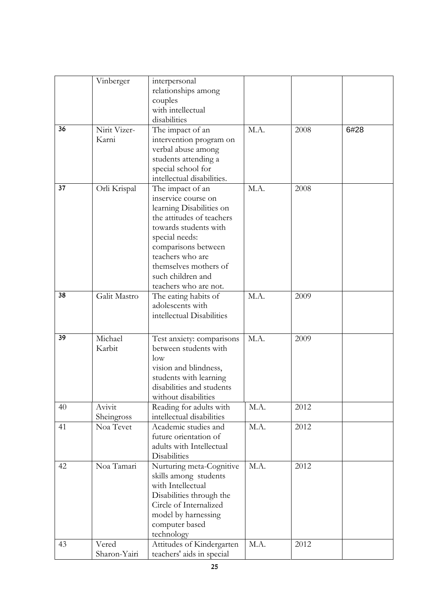|    | Vinberger    | interpersonal                           |      |      |      |
|----|--------------|-----------------------------------------|------|------|------|
|    |              | relationships among                     |      |      |      |
|    |              | couples                                 |      |      |      |
|    |              | with intellectual                       |      |      |      |
|    |              | disabilities                            |      |      |      |
| 36 | Nirit Vizer- | The impact of an                        | M.A. | 2008 | 6#28 |
|    | Karni        | intervention program on                 |      |      |      |
|    |              | verbal abuse among                      |      |      |      |
|    |              | students attending a                    |      |      |      |
|    |              | special school for                      |      |      |      |
|    |              | intellectual disabilities.              |      |      |      |
| 37 | Orli Krispal | The impact of an                        | M.A. | 2008 |      |
|    |              | inservice course on                     |      |      |      |
|    |              | learning Disabilities on                |      |      |      |
|    |              | the attitudes of teachers               |      |      |      |
|    |              | towards students with                   |      |      |      |
|    |              | special needs:                          |      |      |      |
|    |              |                                         |      |      |      |
|    |              | comparisons between<br>teachers who are |      |      |      |
|    |              | themselves mothers of                   |      |      |      |
|    |              |                                         |      |      |      |
|    |              | such children and                       |      |      |      |
|    |              | teachers who are not.                   |      |      |      |
| 38 | Galit Mastro | The eating habits of                    | M.A. | 2009 |      |
|    |              | adolescents with                        |      |      |      |
|    |              | intellectual Disabilities               |      |      |      |
|    |              |                                         |      |      |      |
| 39 | Michael      | Test anxiety: comparisons               | M.A. | 2009 |      |
|    | Karbit       | between students with                   |      |      |      |
|    |              | low                                     |      |      |      |
|    |              | vision and blindness,                   |      |      |      |
|    |              | students with learning                  |      |      |      |
|    |              | disabilities and students               |      |      |      |
|    |              | without disabilities                    |      |      |      |
| 40 | Avivit       | Reading for adults with                 | M.A. | 2012 |      |
|    | Sheingross   | intellectual disabilities               |      |      |      |
| 41 | Noa Tevet    | Academic studies and                    | M.A. | 2012 |      |
|    |              | future orientation of                   |      |      |      |
|    |              | adults with Intellectual                |      |      |      |
|    |              | <b>Disabilities</b>                     |      |      |      |
| 42 | Noa Tamari   | Nurturing meta-Cognitive                | M.A. | 2012 |      |
|    |              | skills among students                   |      |      |      |
|    |              | with Intellectual                       |      |      |      |
|    |              | Disabilities through the                |      |      |      |
|    |              | Circle of Internalized                  |      |      |      |
|    |              | model by harnessing                     |      |      |      |
|    |              | computer based                          |      |      |      |
|    |              | technology                              |      |      |      |
| 43 | Vered        | Attitudes of Kindergarten               | M.A. | 2012 |      |
|    | Sharon-Yairi | teachers' aids in special               |      |      |      |
|    |              |                                         |      |      |      |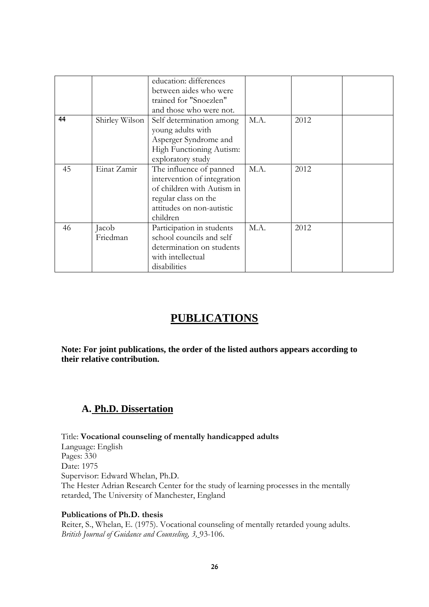|    |                | education: differences      |      |      |  |
|----|----------------|-----------------------------|------|------|--|
|    |                | between aides who were      |      |      |  |
|    |                | trained for "Snoezlen"      |      |      |  |
|    |                | and those who were not.     |      |      |  |
| 44 | Shirley Wilson | Self determination among    | M.A. | 2012 |  |
|    |                | young adults with           |      |      |  |
|    |                | Asperger Syndrome and       |      |      |  |
|    |                | High Functioning Autism:    |      |      |  |
|    |                | exploratory study           |      |      |  |
| 45 | Einat Zamir    | The influence of panned     | M.A. | 2012 |  |
|    |                | intervention of integration |      |      |  |
|    |                | of children with Autism in  |      |      |  |
|    |                | regular class on the        |      |      |  |
|    |                | attitudes on non-autistic   |      |      |  |
|    |                | children                    |      |      |  |
| 46 | Jacob          | Participation in students   | M.A. | 2012 |  |
|    | Friedman       | school councils and self    |      |      |  |
|    |                | determination on students   |      |      |  |
|    |                | with intellectual           |      |      |  |
|    |                | disabilities                |      |      |  |

# **PUBLICATIONS**

**Note: For joint publications, the order of the listed authors appears according to their relative contribution.** 

### **A. Ph.D. Dissertation**

Title: **Vocational counseling of mentally handicapped adults** Language: English Pages: 330 Date: 1975 Supervisor: Edward Whelan, Ph.D. The Hester Adrian Research Center for the study of learning processes in the mentally retarded, The University of Manchester, England

#### **Publications of Ph.D. thesis**

Reiter, S., Whelan, E. (1975). Vocational counseling of mentally retarded young adults. *British Journal of Guidance and Counseling, 3,* 93-106.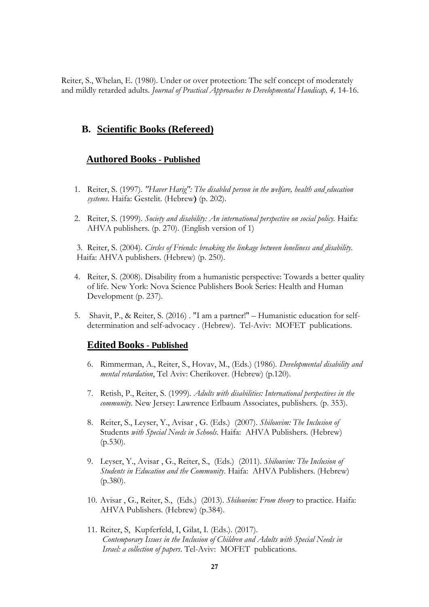Reiter, S., Whelan, E. (1980). Under or over protection: The self concept of moderately and mildly retarded adults. *Journal of Practical Approaches to Developmental Handicap*, 4, 14-16.

#### **B. Scientific Books (Refereed)**

#### **Authored Books - Published**

- 1. Reiter, S. (1997). *"Haver Harig": The disabled person in the welfare, health and education systems*. Haifa: Gestelit. (Hebrew**)** (p. 202).
- 2. Reiter, S. (1999). *Society and disability: An international perspective on social policy.* Haifa: AHVA publishers. (p. 270). (English version of 1)

3. Reiter, S. (2004). *Circles of Friends: breaking the linkage between loneliness and disability*. Haifa: AHVA publishers. (Hebrew) (p. 250).

- 4. Reiter, S. (2008). Disability from a humanistic perspective: Towards a better quality of life. New York: Nova Science Publishers Book Series: Health and Human Development (p. 237).
- 5. Shavit, P., & Reiter, S. (2016) . "I am a partner!" Humanistic education for selfdetermination and self-advocacy . (Hebrew). Tel-Aviv: MOFET publications.

#### **Edited Books - Published**

- 6. Rimmerman, A., Reiter, S., Hovav, M., (Eds.) (1986). *Developmental disability and mental retardation*, Tel Aviv: Cherikover. (Hebrew) (p.120).
- 7. Retish, P., Reiter, S. (1999)*. Adults with disabilities: International perspectives in the community.* New Jersey: Lawrence Erlbaum Associates, publishers. (p. 353).
- 8. Reiter, S., Leyser, Y., Avisar , G. (Eds.) (2007). *Shilouvim: The Inclusion of* Students *with Special Needs in Schools*. Haifa: AHVA Publishers. (Hebrew) (p.530).
- 9. Leyser, Y., Avisar , G., Reiter, S., (Eds.) (2011). *Shilouvim: The Inclusion of Students in Education and the Community*. Haifa: AHVA Publishers. (Hebrew) (p.380).
- 10. Avisar , G., Reiter, S., (Eds.) (2013). *Shilouvim: From theory* to practice. Haifa: AHVA Publishers. (Hebrew) (p.384).
- 11. Reiter, S, Kupferfeld, I, Gilat, I. (Eds.). (2017). *Contemporary Issues in the Inclusion of Children and Adults with Special Needs in Israel: a collection of papers*. Tel-Aviv: MOFET publications.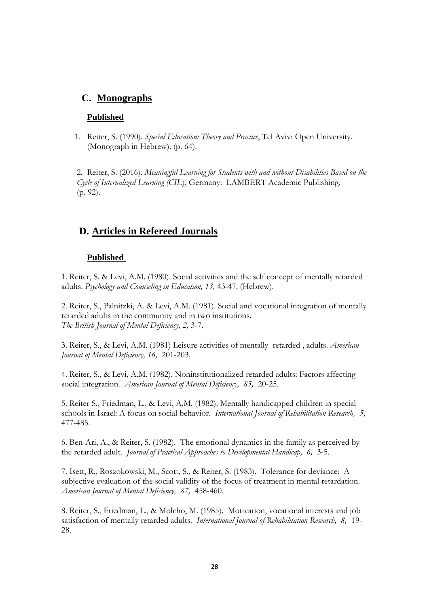# **C. Monographs**

#### **Published**

1. Reiter, S. (1990). *Special Education: Theory and Practice*, Tel Aviv: Open University. (Monograph in Hebrew). (p. 64).

2. Reiter, S. (2016). *Meaningful Learning for Students with and without Disabilities Based on the Cycle of Internalized Learning (CIL*), Germany: LAMBERT Academic Publishing. (p. 92).

### **D. Articles in Refereed Journals**

#### **Published**

1. Reiter, S. & Levi, A.M. (1980). Social activities and the self concept of mentally retarded adults. *Psychology and Counseling in Education, 13,* 43-47. (Hebrew).

2. Reiter, S., Palnitzki, A. & Levi, A.M. (1981). Social and vocational integration of mentally retarded adults in the community and in two institutions. *The British Journal of Mental Deficiency, 2,* 3-7.

3. Reiter, S., & Levi, A.M. (1981) Leisure activities of mentally retarded , adults. *American Journal of Mental Deficiency, 16,* 201-203.

4. Reiter, S., & Levi, A.M. (1982). Noninstitutionalized retarded adults: Factors affecting social integration. *American Journal of Mental Deficiency, 85,* 20-25.

5. Reiter S., Friedman, L., & Levi, A.M. (1982). Mentally handicapped children in special schools in Israel: A focus on social behavior. *International Journal of Rehabilitation Research, 5,* 477-485.

6. Ben-Ari, A., & Reiter, S. (1982). The emotional dynamics in the family as perceived by the retarded adult. *Journal of Practical Approaches to Developmental Handicap, 6,* 3-5.

7. Isett, R., Roszokowski, M., Scott, S., & Reiter, S. (1983). Tolerance for deviance: A subjective evaluation of the social validity of the focus of treatment in mental retardation. *American Journal of Mental Deficiency, 87,* 458-460.

8. Reiter, S., Friedman, L., & Molcho, M. (1985). Motivation, vocational interests and job satisfaction of mentally retarded adults*. International Journal of Rehabilitation Research, 8,* 19- 28.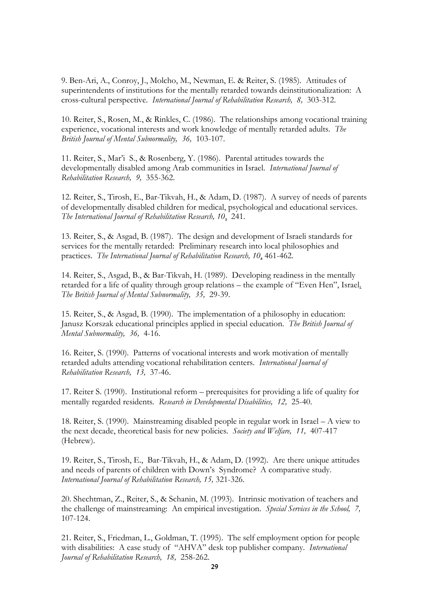9. Ben-Ari, A., Conroy, J., Molcho, M., Newman, E. & Reiter, S. (1985). Attitudes of superintendents of institutions for the mentally retarded towards deinstitutionalization: A cross-cultural perspective*. International Journal of Rehabilitation Research, 8,* 303-312.

10. Reiter, S., Rosen, M., & Rinkles, C. (1986). The relationships among vocational training experience, vocational interests and work knowledge of mentally retarded adults. *The British Journal of Mental Subnormality, 36,* 103-107.

11. Reiter, S., Mar"i S., & Rosenberg, Y. (1986). Parental attitudes towards the developmentally disabled among Arab communities in Israel. *International Journal of Rehabilitation Research, 9,* 355-362.

12. Reiter, S., Tirosh, E., Bar-Tikvah, H., & Adam, D. (1987). A survey of needs of parents of developmentally disabled children for medical, psychological and educational services. *The International Journal of Rehabilitation Research, 10*, 241.

13. Reiter, S., & Asgad, B. (1987). The design and development of Israeli standards for services for the mentally retarded: Preliminary research into local philosophies and practices. *The International Journal of Rehabilitation Research, 10*, 461-462.

14. Reiter, S., Asgad, B., & Bar-Tikvah, H. (1989). Developing readiness in the mentally retarded for a life of quality through group relations – the example of "Even Hen", Israel*. The British Journal of Mental Subnormality, 35,* 29-39.

15. Reiter, S., & Asgad, B. (1990). The implementation of a philosophy in education: Janusz Korszak educational principles applied in special education*. The British Journal of Mental Subnormality, 36,* 4-16.

16. Reiter, S. (1990). Patterns of vocational interests and work motivation of mentally retarded adults attending vocational rehabilitation centers. *International Journal of Rehabilitation Research, 13,* 37-46.

17. Reiter S. (1990). Institutional reform – prerequisites for providing a life of quality for mentally regarded residents*. Research in Developmental Disabilities, 12,* 25-40.

18. Reiter, S. (1990). Mainstreaming disabled people in regular work in Israel – A view to the next decade, theoretical basis for new policies*. Society and Welfare, 11,* 407-417 (Hebrew).

19. Reiter, S., Tirosh, E., Bar-Tikvah, H., & Adam, D. (1992). Are there unique attitudes and needs of parents of children with Down"s Syndrome? A comparative study. *International Journal of Rehabilitation Research, 15,* 321-326.

20. Shechtman, Z., Reiter, S., & Schanin, M. (1993). Intrinsic motivation of teachers and the challenge of mainstreaming: An empirical investigation*. Special Services in the School, 7,* 107-124.

21. Reiter, S., Friedman, L., Goldman, T. (1995). The self employment option for people with disabilities: A case study of "AHVA" desk top publisher company. *International Journal of Rehabilitation Research, 18,* 258-262.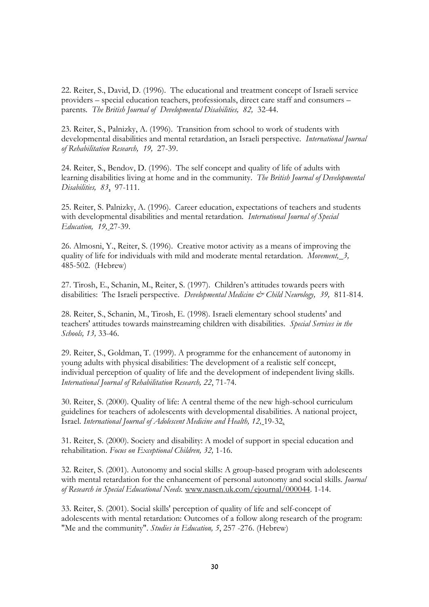22. Reiter, S., David, D. (1996). The educational and treatment concept of Israeli service providers – special education teachers, professionals, direct care staff and consumers – parents*. The British Journal of Developmental Disabilities, 82,* 32-44.

23. Reiter, S., Palnizky, A. (1996). Transition from school to work of students with developmental disabilities and mental retardation, an Israeli perspective. *International Journal of Rehabilitation Research, 19,* 27-39.

24. Reiter, S., Bendov, D. (1996). The self concept and quality of life of adults with learning disabilities living at home and in the community. *The British Journal of Developmental Disabilities, 83*, 97-111.

25. Reiter, S. Palnizky, A. (1996). Career education, expectations of teachers and students with developmental disabilities and mental retardation*. International Journal of Special Education, 19,* 27-39.

26. Almosni, Y., Reiter, S. (1996). Creative motor activity as a means of improving the quality of life for individuals with mild and moderate mental retardation*. Movement, 3,* 485-502. (Hebrew)

27. Tirosh, E., Schanin, M., Reiter, S. (1997). Children"s attitudes towards peers with disabilities: The Israeli perspective. *Developmental Medicine & Child Neurology, 39,* 811-814.

28. Reiter, S., Schanin, M., Tirosh, E. (1998). Israeli elementary school students' and teachers' attitudes towards mainstreaming children with disabilities. *Special Services in the Schools, 13,* 33-46.

29. Reiter, S., Goldman, T. (1999). A programme for the enhancement of autonomy in young adults with physical disabilities: The development of a realistic self concept, individual perception of quality of life and the development of independent living skills. *International Journal of Rehabilitation Research, 22*, 71-74.

30. Reiter, S. (2000). Quality of life: A central theme of the new high-school curriculum guidelines for teachers of adolescents with developmental disabilities. A national project, Israel. *International Journal of Adolescent Medicine and Health, 12,* 19-32.

31. Reiter, S. (2000). Society and disability: A model of support in special education and rehabilitation. *Focus on Exceptional Children, 32,* 1-16.

32. Reiter, S. (2001). Autonomy and social skills: A group-based program with adolescents with mental retardation for the enhancement of personal autonomy and social skills*. Journal of Research in Special Educational Needs.* [www.nasen.uk.com/ejournal/000044.](http://www.nasen.uk.com/ejournal/000044) 1-14.

33. Reiter, S. (2001). Social skills' perception of quality of life and self-concept of adolescents with mental retardation: Outcomes of a follow along research of the program: "Me and the community". *Studies in Education, 5*, 257 -276. (Hebrew)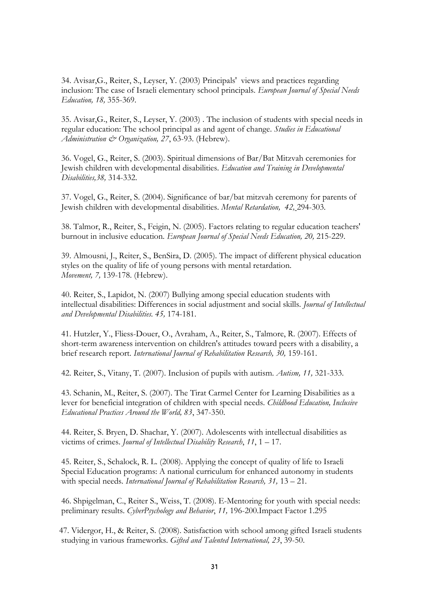34. Avisar,G., Reiter, S., Leyser, Y. (2003) Principals' views and practices regarding inclusion: The case of Israeli elementary school principals. *European Journal of Special Needs Education, 18,* 355-369.

35. Avisar,G., Reiter, S., Leyser, Y. (2003) . The inclusion of students with special needs in regular education: The school principal as and agent of change. *Studies in Educational Administration & Organization, 27*, 63-93. (Hebrew).

36. Vogel, G., Reiter, S. (2003). Spiritual dimensions of Bar/Bat Mitzvah ceremonies for Jewish children with developmental disabilities. *Education and Training in Developmental Disabilities,38,* 314-332.

37. Vogel, G., Reiter, S. (2004). Significance of bar/bat mitzvah ceremony for parents of Jewish children with developmental disabilities. *Mental Retardation, 42,* 294-303.

38. Talmor, R., Reiter, S., Feigin, N. (2005). Factors relating to regular education teachers' burnout in inclusive education*. European Journal of Special Needs Education, 20,* 215-229.

39. Almousni, J., Reiter, S., BenSira, D. (2005). The impact of different physical education styles on the quality of life of young persons with mental retardation. *Movement, 7,* 139-178. (Hebrew).

40. Reiter, S., Lapidot, N. (2007) Bullying among special education students with intellectual disabilities: Differences in social adjustment and social skills. *Journal of Intellectual and Developmental Disabilities. 45,* 174-181.

41. Hutzler, Y., Fliess-Douer, O., Avraham, A., Reiter, S., Talmore, R. (2007). Effects of short-term awareness intervention on children's attitudes toward peers with a disability, a brief research report*. International Journal of Rehabilitation Research, 30,* 159-161.

42. Reiter, S., Vitany, T. (2007). Inclusion of pupils with autism*. Autism, 11,* 321-333.

43. Schanin, M., Reiter, S. (2007). The Tirat Carmel Center for Learning Disabilities as a lever for beneficial integration of children with special needs*. Childhood Education, Inclusive Educational Practices Around the World, 83*, 347-350.

44. Reiter, S. Bryen, D. Shachar, Y. (2007). Adolescents with intellectual disabilities as victims of crimes. *Journal of Intellectual Disability Research*, *11*, 1 – 17.

45. Reiter, S., Schalock, R. L. (2008). Applying the concept of quality of life to Israeli Special Education programs: A national curriculum for enhanced autonomy in students with special needs. International Journal of Rehabilitation Research, 31, 13 - 21.

 46. Shpigelman, C., Reiter S., Weiss, T. (2008). E-Mentoring for youth with special needs: preliminary results. *CyberPsychology and Behavior*, *11,* 196-200.Impact Factor 1.295

 47. Vidergor, H., & Reiter, S. (2008). Satisfaction with school among gifted Israeli students studying in various frameworks. *Gifted and Talented International, 23*, 39-50.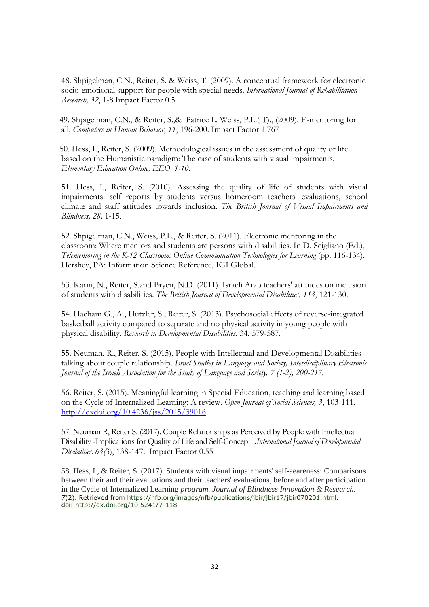48. Shpigelman, C.N., Reiter, S. & Weiss, T. (2009). A conceptual framework for electronic socio-emotional support for people with special needs. *International Journal of Rehabilitation Research, 32*, 1-8.Impact Factor 0.5

 49. Shpigelman, C.N., & Reiter, S.,& Patrice L. Weiss, P.L.( T)., (2009). E-mentoring for all. *Computers in Human Behavior*, *11*, 196-200. Impact Factor 1.767

 50. Hess, I., Reiter, S. (2009). Methodological issues in the assessment of quality of life based on the Humanistic paradigm: The case of students with visual impairments. *Elementary Education Online, EEO, 1-10.*

51. Hess, I., Reiter, S. (2010). Assessing the quality of life of students with visual impairments: self reports by students versus homeroom teachers' evaluations, school climate and staff attitudes towards inclusion. *The British Journal of Visual Impairments and Blindness, 28,* 1-15.

52. Shpigelman, C.N., Weiss, P.L., & Reiter, S. (2011). Electronic mentoring in the classroom: Where mentors and students are persons with disabilities. In D. Scigliano (Ed.), *Telementoring in the K-12 Classroom: Online Communication Technologies for Learning* (pp. 116-134). Hershey, PA: Information Science Reference, IGI Global.

53. Karni, N., Reiter, S.and Bryen, N.D. (2011). Israeli Arab teachers' attitudes on inclusion of students with disabilities. *The British Journal of Developmental Disabilities, 113*, 121-130.

54. Hacham G., A., Hutzler, S., Reiter, S. (2013). Psychosocial effects of reverse-integrated basketball activity compared to separate and no physical activity in young people with physical disability. *Research in Developmental Disabilities*, 34, 579-587.

55. Neuman, R., Reiter, S. (2015). People with Intellectual and Developmental Disabilities talking about couple relationship. *Israel Studies in Language and Society, Interdisciplinary Electronic Journal of the Israeli Association for the Study of Language and Society, 7 (1-2), 200-217.*

56. Reiter, S. (2015). Meaningful learning in Special Education, teaching and learning based on the Cycle of Internalized Learning: A review. *Open Journal of Social Sciences, 3*, 103-111. <http://dxdoi.org/10.4236/jss/2015/39016>

57. Neuman R, Reiter S. (2017). Couple Relationships as Perceived by People with Intellectual Disability -Implications for Quality of Life and Self-Concept .*International Journal of Developmental Disabilities. 63(*3), 138-147. Impact Factor 0.55

58. Hess, I., & Reiter, S. (2017). Students with visual impairments' self-aeareness: Comparisons between their and their evaluations and their teachers' evaluations, before and after participation in the Cycle of Internalized Learning *program. Journal of Blindness Innovation & Research. 7*(2). Retrieved from [https://nfb.org/images/nfb/publications/jbir/jbir17/jbir070201.html.](https://nfb.org/images/nfb/publications/jbir/jbir17/jbir070201.html) doi: <http://dx.doi.org/10.5241/7-118>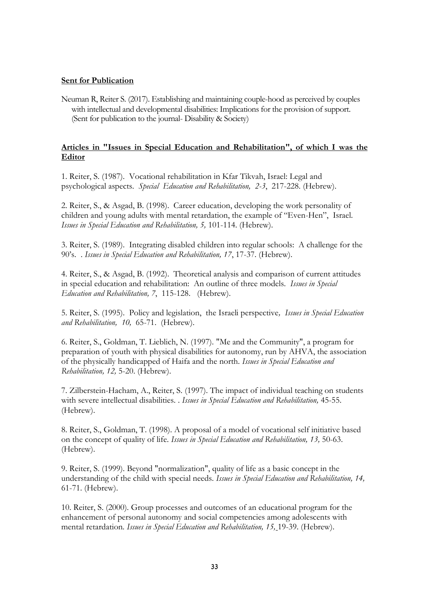#### **Sent for Publication**

Neuman R, Reiter S. (2017). Establishing and maintaining couple-hood as perceived by couples with intellectual and developmental disabilities: Implications for the provision of support. (Sent for publication to the journal- Disability & Society)

#### **Articles in "Issues in Special Education and Rehabilitation", of which I was the Editor**

1. Reiter, S. (1987). Vocational rehabilitation in Kfar Tikvah, Israel: Legal and psychological aspects. *Special Education and Rehabilitation, 2-3*, 217-228. (Hebrew).

2. Reiter, S., & Asgad, B. (1998). Career education, developing the work personality of children and young adults with mental retardation, the example of "Even-Hen", Israel. *Issues in Special Education and Rehabilitation, 5,* 101-114. (Hebrew).

3. Reiter, S. (1989). Integrating disabled children into regular schools: A challenge for the 90"s. . *Issues in Special Education and Rehabilitation, 17*, 17-37. (Hebrew).

4. Reiter, S., & Asgad, B. (1992). Theoretical analysis and comparison of current attitudes in special education and rehabilitation: An outline of three models*. Issues in Special Education and Rehabilitation, 7*, 115-128. (Hebrew).

5. Reiter, S. (1995). Policy and legislation, the Israeli perspective*, Issues in Special Education and Rehabilitation, 10,* 65-71. (Hebrew).

6. Reiter, S., Goldman, T. Lieblich, N. (1997). "Me and the Community", a program for preparation of youth with physical disabilities for autonomy, run by AHVA, the association of the physically handicapped of Haifa and the north*. Issues in Special Education and Rehabilitation, 12,* 5-20. (Hebrew).

7. Zilberstein-Hacham, A., Reiter, S. (1997). The impact of individual teaching on students with severe intellectual disabilities. . *Issues in Special Education and Rehabilitation,* 45-55. (Hebrew).

8. Reiter, S., Goldman, T. (1998). A proposal of a model of vocational self initiative based on the concept of quality of life. *Issues in Special Education and Rehabilitation, 13,* 50-63. (Hebrew).

9. Reiter, S. (1999). Beyond "normalization", quality of life as a basic concept in the understanding of the child with special needs. *Issues in Special Education and Rehabilitation, 14,* 61-71. (Hebrew).

10. Reiter, S. (2000). Group processes and outcomes of an educational program for the enhancement of personal autonomy and social competencies among adolescents with mental retardation*. Issues in Special Education and Rehabilitation, 15,* 19-39. (Hebrew).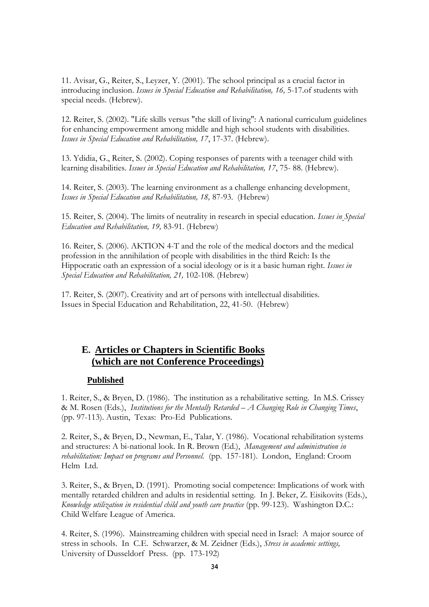11. Avisar, G., Reiter, S., Leyzer, Y. (2001). The school principal as a crucial factor in introducing inclusion. *Issues in Special Education and Rehabilitation, 16,* 5-17.of students with special needs. (Hebrew).

12. Reiter, S. (2002). "Life skills versus "the skill of living": A national curriculum guidelines for enhancing empowerment among middle and high school students with disabilities. *Issues in Special Education and Rehabilitation, 17*, 17-37. (Hebrew).

13. Ydidia, G., Reiter, S. (2002). Coping responses of parents with a teenager child with learning disabilities. *Issues in Special Education and Rehabilitation, 17*, 75- 88. (Hebrew).

14. Reiter, S. (2003). The learning environment as a challenge enhancing development. *Issues in Special Education and Rehabilitation, 18,* 87-93. (Hebrew)

15. Reiter, S. (2004). The limits of neutrality in research in special education. *Issues in Special Education and Rehabilitation, 19,* 83-91. (Hebrew)

16. Reiter, S. (2006). AKTION 4-T and the role of the medical doctors and the medical profession in the annihilation of people with disabilities in the third Reich: Is the Hippocratic oath an expression of a social ideology or is it a basic human right*. Issues in Special Education and Rehabilitation, 21,* 102-108. (Hebrew)

17. Reiter, S. (2007). Creativity and art of persons with intellectual disabilities. Issues in Special Education and Rehabilitation, 22, 41-50. (Hebrew)

# **E. Articles or Chapters in Scientific Books (which are not Conference Proceedings)**

#### **Published**

1. Reiter, S., & Bryen, D. (1986). The institution as a rehabilitative setting. In M.S. Crissey & M. Rosen (Eds.), *Institutions for the Mentally Retarded – A Changing Role in Changing Times*, (pp. 97-113). Austin, Texas: Pro-Ed Publications.

2. Reiter, S., & Bryen, D., Newman, E., Talar, Y. (1986). Vocational rehabilitation systems and structures: A bi-national look. In R. Brown (Ed.), *Management and administration in rehabilitation: Impact on programs and Personnel.* (pp. 157-181). London, England: Croom Helm Ltd.

3. Reiter, S., & Bryen, D. (1991). Promoting social competence: Implications of work with mentally retarded children and adults in residential setting. In J. Beker, Z. Eisikovits (Eds.), *Knowledge utilization in residential child and youth care practice* (pp. 99-123). Washington D.C.: Child Welfare League of America.

4. Reiter, S. (1996). Mainstreaming children with special need in Israel: A major source of stress in schools. In C.E. Schwarzer, & M. Zeidner (Eds.), *Stress in academic settings,*  University of Dusseldorf Press. (pp. 173-192)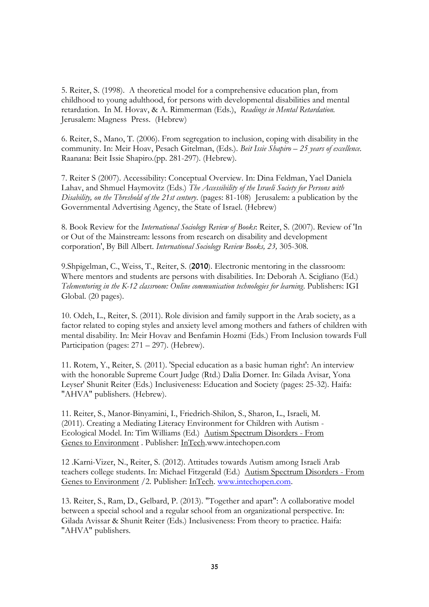5. Reiter, S. (1998). A theoretical model for a comprehensive education plan, from childhood to young adulthood, for persons with developmental disabilities and mental retardation. In M. Hovav, & A. Rimmerman (Eds.), *Readings in Mental Retardation.*  Jerusalem: Magness Press. (Hebrew)

6. Reiter, S., Mano, T. (2006). From segregation to inclusion, coping with disability in the community. In: Meir Hoav, Pesach Gitelman, (Eds.). *Beit Issie Shapiro – 25 years of excellence.* Raanana: Beit Issie Shapiro.(pp. 281-297). (Hebrew).

7. Reiter S (2007). Accessibility: Conceptual Overview. In: Dina Feldman, Yael Daniela Lahav, and Shmuel Haymovitz (Eds.) *The Accessibility of the Israeli Society for Persons with Disability, on the Threshold of the 21st century*. (pages: 81-108) Jerusalem: a publication by the Governmental Advertising Agency, the State of Israel. (Hebrew)

8. Book Review for the *International Sociology Review of Books*: Reiter, S. (2007). Review of 'In or Out of the Mainstream: lessons from research on disability and development corporation', By Bill Albert. *International Sociology Review Books, 23,* 305-308*.*

9.Shpigelman, C., Weiss, T., Reiter, S. (2010). Electronic mentoring in the classroom: Where mentors and students are persons with disabilities. In: Deborah A. Scigliano (Ed.) *Telementoring in the K-12 classroom: Online communication technologies for learning*. Publishers: IGI Global. (20 pages).

10. Odeh, L., Reiter, S. (2011). Role division and family support in the Arab society, as a factor related to coping styles and anxiety level among mothers and fathers of children with mental disability. In: Meir Hovav and Benfamin Hozmi (Eds.) From Inclusion towards Full Participation (pages: 271 – 297). (Hebrew).

11. Rotem, Y., Reiter, S. (2011). 'Special education as a basic human right': An interview with the honorable Supreme Court Judge (Rtd.) Dalia Dorner. In: Gilada Avisar, Yona Leyser' Shunit Reiter (Eds.) Inclusiveness: Education and Society (pages: 25-32). Haifa: "AHVA" publishers. (Hebrew).

11. Reiter, S., Manor-Binyamini, I., Friedrich-Shilon, S., Sharon, L., Israeli, M. (2011). Creating a Mediating Literacy Environment for Children with Autism - Ecological Model. In: Tim Williams (Ed.) [Autism Spectrum Disorders -](http://www.intechopen.com/books/show/title/autism-spectrum-disorders-from-genes-to-environment) From [Genes to Environment](http://www.intechopen.com/books/show/title/autism-spectrum-disorders-from-genes-to-environment) . Publisher: [InTech.](http://www.intechweb.org/)www.intechopen.com

12 .Karni-Vizer, N., Reiter, S. (2012). Attitudes towards Autism among Israeli Arab teachers college students. In: Michael Fitzgerald (Ed.) [Autism Spectrum Disorders -](http://www.intechopen.com/books/show/title/autism-spectrum-disorders-from-genes-to-environment) From [Genes to Environment](http://www.intechopen.com/books/show/title/autism-spectrum-disorders-from-genes-to-environment) /2. Publisher: [InTech.](http://www.intechweb.org/) [www.intechopen.com.](http://www.intechopen.com/)

13. Reiter, S., Ram, D., Gelbard, P. (2013). "Together and apart": A collaborative model between a special school and a regular school from an organizational perspective. In: Gilada Avissar & Shunit Reiter (Eds.) Inclusiveness: From theory to practice. Haifa: "AHVA" publishers.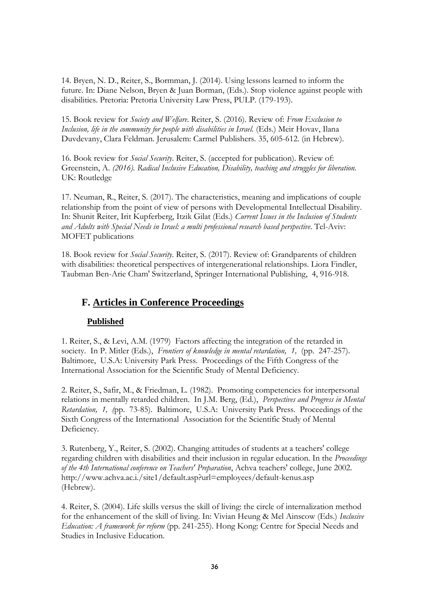14. Bryen, N. D., Reiter, S., Bormman, J. (2014). Using lessons learned to inform the future. In: Diane Nelson, Bryen & Juan Borman, (Eds.). Stop violence against people with disabilities. Pretoria: Pretoria University Law Press, PULP. (179-193).

15. Book review for *Society and Welfare*. Reiter, S. (2016). Review of: *From Exclusion to Inclusion, life in the community for people with disabilities in Israel.* (Eds.) Meir Hovav, Ilana Duvdevany, Clara Feldman. Jerusalem: Carmel Publishers. 35, 605-612. (in Hebrew).

16. Book review for *Social Security*. Reiter, S. (accepted for publication). Review of: Greenstein, A. *(2016). Radical Inclusive Education, Disability, teaching and struggles for liberation.*  UK: Routledge

17. Neuman, R., Reiter, S. (2017). The characteristics, meaning and implications of couple relationship from the point of view of persons with Developmental Intellectual Disability. In: Shunit Reiter, Irit Kupferberg, Itzik Gilat (Eds.) *Current Issues in the Inclusion of Students and Adults with Special Needs in Israel: a multi professional research based perspective*. Tel-Aviv: MOFET publications

18. Book review for *Social Security*. Reiter, S. (2017). Review of: Grandparents of children with disabilities: theoretical perspectives of intergenerational relationships. Liora Findler, Taubman Ben-Arie Cham' Switzerland, Springer International Publishing, 4, 916-918.

# **F. Articles in Conference Proceedings**

#### **Published**

1. Reiter, S., & Levi, A.M. (1979) Factors affecting the integration of the retarded in society. In P. Mitler (Eds.), *Frontiers of knowledge in mental retardation, 1,* (pp. 247-257). Baltimore, U.S.A: University Park Press. Proceedings of the Fifth Congress of the International Association for the Scientific Study of Mental Deficiency.

2. Reiter, S., Safir, M., & Friedman, L. (1982). Promoting competencies for interpersonal relations in mentally retarded children. In J.M. Berg, (Ed.), *Perspectives and Progress in Mental Retardation, 1, (*pp. 73-85). Baltimore, U.S.A: University Park Press. Proceedings of the Sixth Congress of the International Association for the Scientific Study of Mental Deficiency.

3. Rutenberg, Y., Reiter, S. (2002). Changing attitudes of students at a teachers' college regarding children with disabilities and their inclusion in regular education. In the *Proceedings of the 4th International conference on Teachers' Preparation*, Achva teachers' college, June 2002. http://www.achva.ac.i./site1/default.asp?url=employees/default-kenus.asp (Hebrew).

4. Reiter, S. (2004). Life skills versus the skill of living: the circle of internalization method for the enhancement of the skill of living. In: Vivian Heung & Mel Ainscow (Eds.) *Inclusive Education: A framework for reform* (pp. 241-255). Hong Kong: Centre for Special Needs and Studies in Inclusive Education.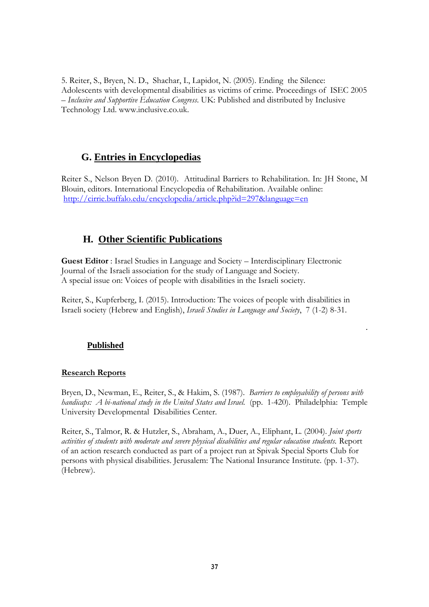5. Reiter, S., Bryen, N. D., Shachar, I., Lapidot, N. (2005). Ending the Silence: Adolescents with developmental disabilities as victims of crime. Proceedings of ISEC 2005 – *Inclusive and Supportive Education Congress*. UK: Published and distributed by Inclusive Technology Ltd. www.inclusive.co.uk.

### **G. Entries in Encyclopedias**

Reiter S., Nelson Bryen D. (2010). Attitudinal Barriers to Rehabilitation. In: JH Stone, M Blouin, editors. International Encyclopedia of Rehabilitation. Available online: <http://cirrie.buffalo.edu/encyclopedia/article.php?id=297&language=en>

# **H. Other Scientific Publications**

**Guest Editor** : Israel Studies in Language and Society – Interdisciplinary Electronic Journal of the Israeli association for the study of Language and Society. A special issue on: Voices of people with disabilities in the Israeli society.

Reiter, S., Kupferberg, I. (2015). Introduction: The voices of people with disabilities in Israeli society (Hebrew and English), *Israeli Studies in Language and Society*, 7 (1-2) 8-31.

.

#### **Published**

#### **Research Reports**

Bryen, D., Newman, E., Reiter, S., & Hakim, S. (1987). *Barriers to employability of persons with handicaps: A bi-national study in the United States and Israel.* (pp. 1-420). Philadelphia: Temple University Developmental Disabilities Center.

Reiter, S., Talmor, R. & Hutzler, S., Abraham, A., Duer, A., Eliphant, L. (2004). *Joint sports activities of students with moderate and severe physical disabilities and regular education students.* Report of an action research conducted as part of a project run at Spivak Special Sports Club for persons with physical disabilities. Jerusalem: The National Insurance Institute. (pp. 1-37). (Hebrew).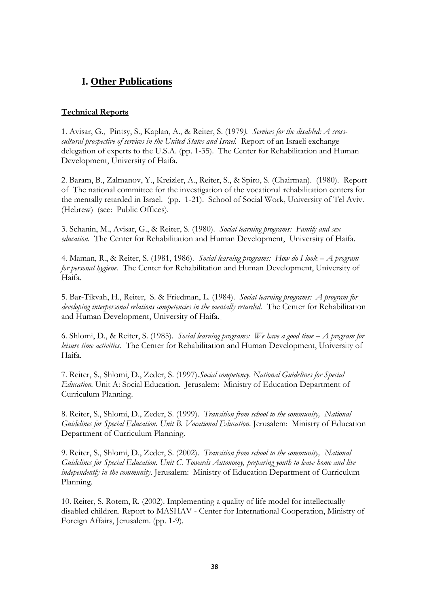# **I. Other Publications**

#### **Technical Reports**

1. Avisar, G., Pintsy, S., Kaplan, A., & Reiter, S. (1979*). Services for the disabled: A crosscultural prospective of services in the United States and Israel.* Report of an Israeli exchange delegation of experts to the U.S.A. (pp. 1-35). The Center for Rehabilitation and Human Development, University of Haifa.

2. Baram, B., Zalmanov, Y., Kreizler, A., Reiter, S., & Spiro, S. (Chairman). (1980).Report of The national committee for the investigation of the vocational rehabilitation centers for the mentally retarded in Israel. (pp. 1-21). School of Social Work, University of Tel Aviv. (Hebrew) (see: Public Offices).

3. Schanin, M., Avisar, G., & Reiter, S. (1980). *Social learning programs: Family and sex education.* The Center for Rehabilitation and Human Development, University of Haifa.

4. Maman, R., & Reiter, S. (1981, 1986). *Social learning programs: How do I look – A program for personal hygiene.* The Center for Rehabilitation and Human Development, University of Haifa.

5. Bar-Tikvah, H., Reiter, S. & Friedman, L. (1984). *Social learning programs: A program for developing interpersonal relations competencies in the mentally retarded.* The Center for Rehabilitation and Human Development, University of Haifa.

6. Shlomi, D., & Reiter, S. (1985)*. Social learning programs: We have a good time – A program for leisure time activities.* The Center for Rehabilitation and Human Development, University of Haifa.

7. Reiter, S., Shlomi, D., Zeder, S. (1997).*Social competency*. *National Guidelines for Special Education.* Unit A: Social Education. Jerusalem: Ministry of Education Department of Curriculum Planning.

8. Reiter, S., Shlomi, D., Zeder, S. (1999). *Transition from school to the community, National Guidelines for Special Education. Unit B. Vocational Education.* Jerusalem: Ministry of Education Department of Curriculum Planning.

9. Reiter, S., Shlomi, D., Zeder, S. (2002). *Transition from school to the community, National Guidelines for Special Education. Unit C. Towards Autonomy, preparing youth to leave home and live independently in the community*. Jerusalem: Ministry of Education Department of Curriculum Planning.

10. Reiter, S. Rotem, R. (2002). Implementing a quality of life model for intellectually disabled children. Report to MASHAV - Center for International Cooperation, Ministry of Foreign Affairs, Jerusalem. (pp. 1-9).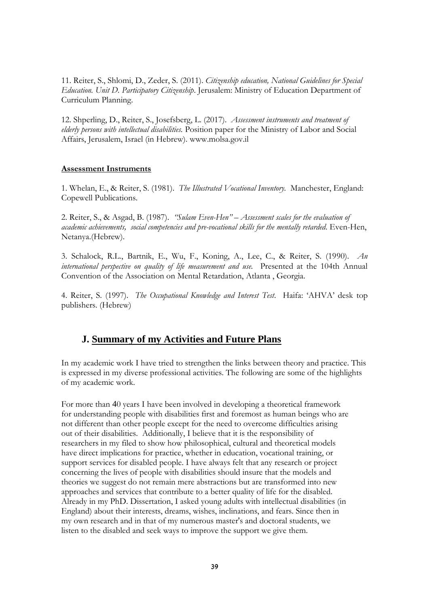11. Reiter, S., Shlomi, D., Zeder, S. (2011). *Citizenship education, National Guidelines for Special Education. Unit D. Participatory Citizenship*. Jerusalem: Ministry of Education Department of Curriculum Planning.

12. Shperling, D., Reiter, S., Josefsberg, L. (2017). *Assessment instruments and treatment of elderly persons with intellectual disabilities.* Position paper for the Ministry of Labor and Social Affairs, Jerusalem, Israel (in Hebrew). www.molsa.gov.il

#### **Assessment Instruments**

1. Whelan, E., & Reiter, S. (1981). *The Illustrated Vocational Inventory.* Manchester, England: Copewell Publications.

2. Reiter, S., & Asgad, B. (1987). *"Sulam Even-Hen" – Assessment scales for the evaluation of academic achievements, social competencies and pre-vocational skills for the mentally retarded*. Even-Hen, Netanya.(Hebrew).

3. Schalock, R.L., Bartnik, E., Wu, F., Koning, A., Lee, C., & Reiter, S. (1990). *An international perspective on quality of life measurement and use.* Presented at the 104th Annual Convention of the Association on Mental Retardation, Atlanta , Georgia.

4. Reiter, S. (1997). *The Occupational Knowledge and Interest Test*. Haifa: "AHVA" desk top publishers. (Hebrew)

### **J. Summary of my Activities and Future Plans**

In my academic work I have tried to strengthen the links between theory and practice. This is expressed in my diverse professional activities. The following are some of the highlights of my academic work.

For more than 40 years I have been involved in developing a theoretical framework for understanding people with disabilities first and foremost as human beings who are not different than other people except for the need to overcome difficulties arising out of their disabilities. Additionally, I believe that it is the responsibility of researchers in my filed to show how philosophical, cultural and theoretical models have direct implications for practice, whether in education, vocational training, or support services for disabled people. I have always felt that any research or project concerning the lives of people with disabilities should insure that the models and theories we suggest do not remain mere abstractions but are transformed into new approaches and services that contribute to a better quality of life for the disabled. Already in my PhD. Dissertation, I asked young adults with intellectual disabilities (in England) about their interests, dreams, wishes, inclinations, and fears. Since then in my own research and in that of my numerous master's and doctoral students, we listen to the disabled and seek ways to improve the support we give them.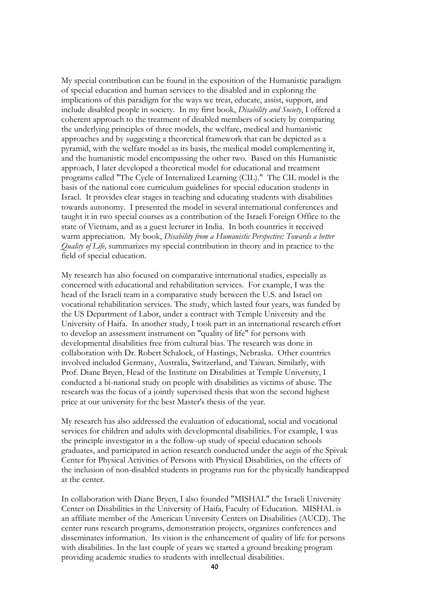My special contribution can be found in the exposition of the Humanistic paradigm of special education and human services to the disabled and in exploring the implications of this paradigm for the ways we treat, educate, assist, support, and include disabled people in society. In my first book, *Disability and Society*, I offered a coherent approach to the treatment of disabled members of society by comparing the underlying principles of three models, the welfare, medical and humanistic approaches and by suggesting a theoretical framework that can be depicted as a pyramid, with the welfare model as its basis, the medical model complementing it, and the humanistic model encompassing the other two. Based on this Humanistic approach, I later developed a theoretical model for educational and treatment programs called "The Cycle of Internalized Learning (CIL)." The CIL model is the basis of the national core curriculum guidelines for special education students in Israel. It provides clear stages in teaching and educating students with disabilities towards autonomy. I presented the model in several international conferences and taught it in two special courses as a contribution of the Israeli Foreign Office to the state of Vietnam, and as a guest lecturer in India. In both countries it received warm appreciation. My book, *Disability from a Humanistic Perspective: Towards a better Quality of Life,* summarizes my special contribution in theory and in practice to the field of special education.

My research has also focused on comparative international studies, especially as concerned with educational and rehabilitation services. For example, I was the head of the Israeli team in a comparative study between the U.S. and Israel on vocational rehabilitation services. The study, which lasted four years, was funded by the US Department of Labor, under a contract with Temple University and the University of Haifa. In another study, I took part in an international research effort to develop an assessment instrument on "quality of life" for persons with developmental disabilities free from cultural bias. The research was done in collaboration with Dr. Robert Schalock, of Hastings, Nebraska. Other countries involved included Germany, Australia, Switzerland, and Taiwan. Similarly, with Prof. Diane Bryen, Head of the Institute on Disabilities at Temple University, I conducted a bi-national study on people with disabilities as victims of abuse. The research was the focus of a jointly supervised thesis that won the second highest price at our university for the best Master's thesis of the year.

My research has also addressed the evaluation of educational, social and vocational services for children and adults with developmental disabilities. For example, I was the principle investigator in a the follow-up study of special education schools graduates, and participated in action research conducted under the aegis of the Spivak Center for Physical Activities of Persons with Physical Disabilities, on the effects of the inclusion of non-disabled students in programs run for the physically handicapped at the center.

In collaboration with Diane Bryen, I also founded "MISHAL" the Israeli University Center on Disabilities in the University of Haifa, Faculty of Education. MISHAL is an affiliate member of the American University Centers on Disabilities (AUCD). The center runs research programs, demonstration projects, organizes conferences and disseminates information. Its vision is the enhancement of quality of life for persons with disabilities. In the last couple of years we started a ground breaking program providing academic studies to students with intellectual disabilities.